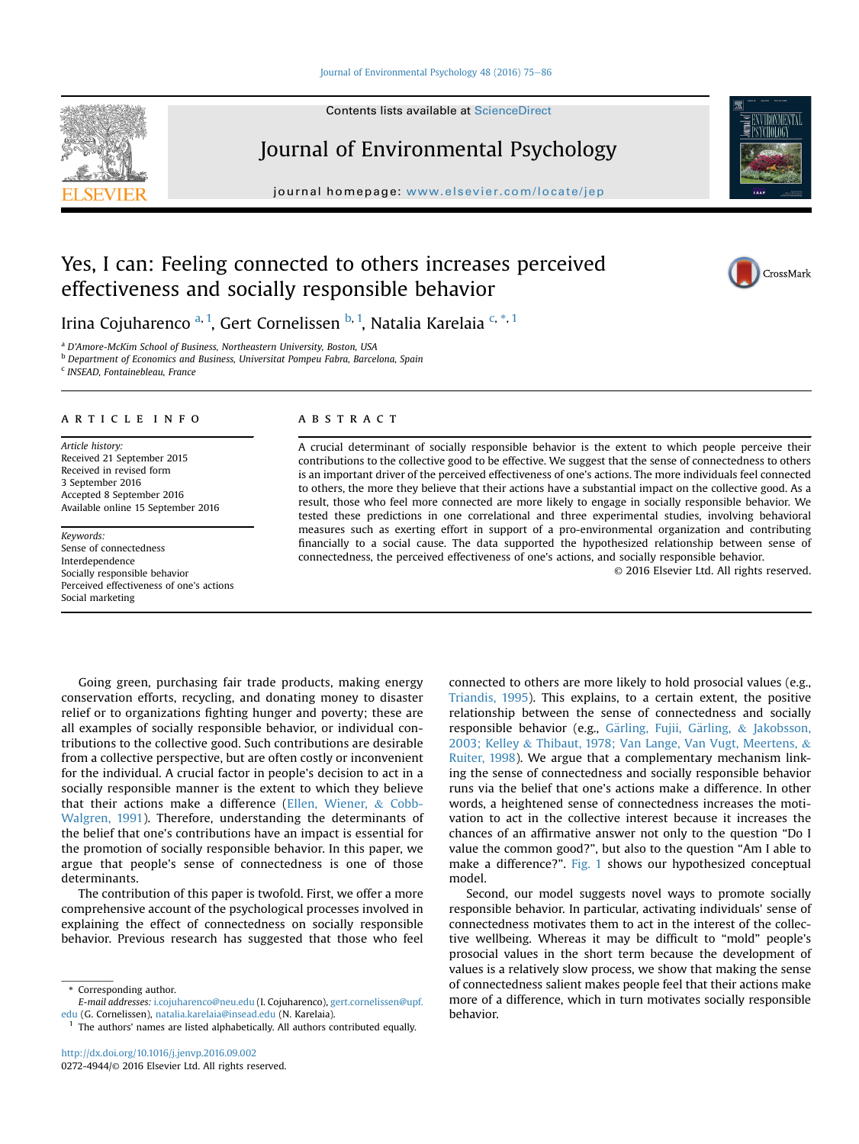### [Journal of Environmental Psychology 48 \(2016\) 75](http://dx.doi.org/10.1016/j.jenvp.2016.09.002)-[86](http://dx.doi.org/10.1016/j.jenvp.2016.09.002)

Contents lists available at ScienceDirect

# Journal of Environmental Psychology

journal homepage: [www.elsevier.com/locate/jep](http://www.elsevier.com/locate/jep)

# Yes, I can: Feeling connected to others increases perceived effectiveness and socially responsible behavior



Irina Cojuharenco <sup>a, 1</sup>, Gert Cornelissen <sup>b, 1</sup>, Natalia Karelaia <sup>c, \*, 1</sup>

<sup>a</sup> D'Amore-McKim School of Business, Northeastern University, Boston, USA

<sup>b</sup> Department of Economics and Business, Universitat Pompeu Fabra, Barcelona, Spain

<sup>c</sup> INSEAD, Fontainebleau, France

### article info

Article history: Received 21 September 2015 Received in revised form 3 September 2016 Accepted 8 September 2016 Available online 15 September 2016

Keywords: Sense of connectedness Interdependence Socially responsible behavior Perceived effectiveness of one's actions Social marketing

### **ABSTRACT**

A crucial determinant of socially responsible behavior is the extent to which people perceive their contributions to the collective good to be effective. We suggest that the sense of connectedness to others is an important driver of the perceived effectiveness of one's actions. The more individuals feel connected to others, the more they believe that their actions have a substantial impact on the collective good. As a result, those who feel more connected are more likely to engage in socially responsible behavior. We tested these predictions in one correlational and three experimental studies, involving behavioral measures such as exerting effort in support of a pro-environmental organization and contributing financially to a social cause. The data supported the hypothesized relationship between sense of connectedness, the perceived effectiveness of one's actions, and socially responsible behavior.

© 2016 Elsevier Ltd. All rights reserved.

Going green, purchasing fair trade products, making energy conservation efforts, recycling, and donating money to disaster relief or to organizations fighting hunger and poverty; these are all examples of socially responsible behavior, or individual contributions to the collective good. Such contributions are desirable from a collective perspective, but are often costly or inconvenient for the individual. A crucial factor in people's decision to act in a socially responsible manner is the extent to which they believe that their actions make a difference [\(Ellen, Wiener,](#page-10-0) & [Cobb-](#page-10-0)[Walgren, 1991](#page-10-0)). Therefore, understanding the determinants of the belief that one's contributions have an impact is essential for the promotion of socially responsible behavior. In this paper, we argue that people's sense of connectedness is one of those determinants.

The contribution of this paper is twofold. First, we offer a more comprehensive account of the psychological processes involved in explaining the effect of connectedness on socially responsible behavior. Previous research has suggested that those who feel

Corresponding author.

connected to others are more likely to hold prosocial values (e.g., [Triandis, 1995\)](#page-11-0). This explains, to a certain extent, the positive relationship between the sense of connectedness and socially responsible behavior (e.g., Gärling, Fujii, Gärling, & [Jakobsson,](#page-10-0) [2003; Kelley](#page-10-0) & [Thibaut, 1978; Van Lange, Van Vugt, Meertens,](#page-10-0) & [Ruiter, 1998\)](#page-10-0). We argue that a complementary mechanism linking the sense of connectedness and socially responsible behavior runs via the belief that one's actions make a difference. In other words, a heightened sense of connectedness increases the motivation to act in the collective interest because it increases the chances of an affirmative answer not only to the question "Do I value the common good?", but also to the question "Am I able to make a difference?". [Fig. 1](#page-1-0) shows our hypothesized conceptual model.

Second, our model suggests novel ways to promote socially responsible behavior. In particular, activating individuals' sense of connectedness motivates them to act in the interest of the collective wellbeing. Whereas it may be difficult to "mold" people's prosocial values in the short term because the development of values is a relatively slow process, we show that making the sense of connectedness salient makes people feel that their actions make more of a difference, which in turn motivates socially responsible behavior.

E-mail addresses: [i.cojuharenco@neu.edu](mailto:i.cojuharenco@neu.edu) (I. Cojuharenco), [gert.cornelissen@upf.](mailto:gert.cornelissen@upf.edu) [edu](mailto:gert.cornelissen@upf.edu) (G. Cornelissen), [natalia.karelaia@insead.edu](mailto:natalia.karelaia@insead.edu) (N. Karelaia).

The authors' names are listed alphabetically. All authors contributed equally.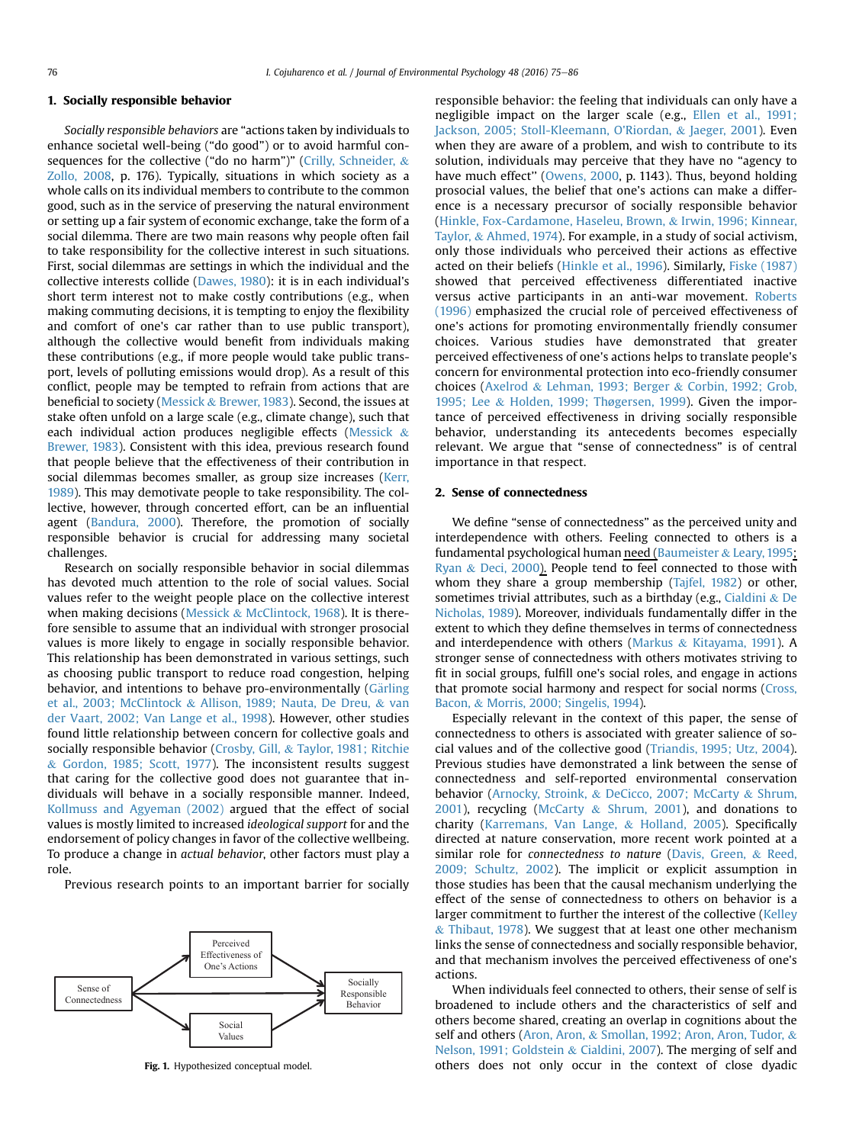### <span id="page-1-0"></span>1. Socially responsible behavior

Socially responsible behaviors are "actions taken by individuals to enhance societal well-being ("do good") or to avoid harmful consequences for the collective ("do no harm")" ([Crilly, Schneider,](#page-10-0) & [Zollo, 2008](#page-10-0), p. 176). Typically, situations in which society as a whole calls on its individual members to contribute to the common good, such as in the service of preserving the natural environment or setting up a fair system of economic exchange, take the form of a social dilemma. There are two main reasons why people often fail to take responsibility for the collective interest in such situations. First, social dilemmas are settings in which the individual and the collective interests collide [\(Dawes, 1980](#page-10-0)): it is in each individual's short term interest not to make costly contributions (e.g., when making commuting decisions, it is tempting to enjoy the flexibility and comfort of one's car rather than to use public transport), although the collective would benefit from individuals making these contributions (e.g., if more people would take public transport, levels of polluting emissions would drop). As a result of this conflict, people may be tempted to refrain from actions that are beneficial to society ([Messick](#page-10-0) & [Brewer, 1983](#page-10-0)). Second, the issues at stake often unfold on a large scale (e.g., climate change), such that each individual action produces negligible effects [\(Messick](#page-10-0)  $\&$ [Brewer, 1983](#page-10-0)). Consistent with this idea, previous research found that people believe that the effectiveness of their contribution in social dilemmas becomes smaller, as group size increases [\(Kerr,](#page-10-0) [1989](#page-10-0)). This may demotivate people to take responsibility. The collective, however, through concerted effort, can be an influential agent ([Bandura, 2000](#page-9-0)). Therefore, the promotion of socially responsible behavior is crucial for addressing many societal challenges.

Research on socially responsible behavior in social dilemmas has devoted much attention to the role of social values. Social values refer to the weight people place on the collective interest when making decisions ([Messick](#page-10-0) & [McClintock, 1968](#page-10-0)). It is therefore sensible to assume that an individual with stronger prosocial values is more likely to engage in socially responsible behavior. This relationship has been demonstrated in various settings, such as choosing public transport to reduce road congestion, helping behavior, and intentions to behave pro-environmentally ([Garling](#page-10-0) [et al., 2003; McClintock](#page-10-0) & [Allison, 1989; Nauta, De Dreu,](#page-10-0) & [van](#page-10-0) [der Vaart, 2002; Van Lange et al., 1998\)](#page-10-0). However, other studies found little relationship between concern for collective goals and socially responsible behavior [\(Crosby, Gill,](#page-10-0) & [Taylor, 1981; Ritchie](#page-10-0) & [Gordon, 1985; Scott, 1977\)](#page-10-0). The inconsistent results suggest that caring for the collective good does not guarantee that individuals will behave in a socially responsible manner. Indeed, [Kollmuss and Agyeman \(2002\)](#page-10-0) argued that the effect of social values is mostly limited to increased ideological support for and the endorsement of policy changes in favor of the collective wellbeing. To produce a change in actual behavior, other factors must play a role.

Previous research points to an important barrier for socially



Fig. 1. Hypothesized conceptual model.

responsible behavior: the feeling that individuals can only have a negligible impact on the larger scale (e.g., [Ellen et al., 1991;](#page-10-0) [Jackson, 2005; Stoll-Kleemann, O'Riordan,](#page-10-0) & [Jaeger, 2001](#page-10-0)). Even when they are aware of a problem, and wish to contribute to its solution, individuals may perceive that they have no "agency to have much effect'' [\(Owens, 2000](#page-10-0), p. 1143). Thus, beyond holding prosocial values, the belief that one's actions can make a difference is a necessary precursor of socially responsible behavior ([Hinkle, Fox-Cardamone, Haseleu, Brown,](#page-10-0) & [Irwin, 1996; Kinnear,](#page-10-0) [Taylor,](#page-10-0) & [Ahmed, 1974\)](#page-10-0). For example, in a study of social activism, only those individuals who perceived their actions as effective acted on their beliefs ([Hinkle et al., 1996](#page-10-0)). Similarly, [Fiske \(1987\)](#page-10-0) showed that perceived effectiveness differentiated inactive versus active participants in an anti-war movement. [Roberts](#page-10-0) [\(1996\)](#page-10-0) emphasized the crucial role of perceived effectiveness of one's actions for promoting environmentally friendly consumer choices. Various studies have demonstrated that greater perceived effectiveness of one's actions helps to translate people's concern for environmental protection into eco-friendly consumer choices [\(Axelrod](#page-9-0) & [Lehman, 1993; Berger](#page-9-0) & [Corbin, 1992; Grob,](#page-9-0) [1995; Lee](#page-9-0) & [Holden, 1999; Thøgersen, 1999\)](#page-9-0). Given the importance of perceived effectiveness in driving socially responsible behavior, understanding its antecedents becomes especially relevant. We argue that "sense of connectedness" is of central importance in that respect.

# 2. Sense of connectedness

We define "sense of connectedness" as the perceived unity and interdependence with others. Feeling connected to others is a fundamental psychological human need [\(Baumeister](#page-9-0) & [Leary, 1995](#page-9-0); [Ryan](#page-10-0) & [Deci, 2000](#page-10-0)). People tend to feel connected to those with whom they share a group membership (Tajfel,  $1982$ ) or other, sometimes trivial attributes, such as a birthday (e.g., [Cialdini](#page-10-0) & [De](#page-10-0) [Nicholas, 1989\)](#page-10-0). Moreover, individuals fundamentally differ in the extent to which they define themselves in terms of connectedness and interdependence with others ([Markus](#page-10-0)  $&$  [Kitayama, 1991\)](#page-10-0). A stronger sense of connectedness with others motivates striving to fit in social groups, fulfill one's social roles, and engage in actions that promote social harmony and respect for social norms ([Cross,](#page-10-0) [Bacon,](#page-10-0) & [Morris, 2000; Singelis, 1994](#page-10-0)).

Especially relevant in the context of this paper, the sense of connectedness to others is associated with greater salience of social values and of the collective good [\(Triandis, 1995; Utz, 2004\)](#page-11-0). Previous studies have demonstrated a link between the sense of connectedness and self-reported environmental conservation behavior [\(Arnocky, Stroink,](#page-9-0) & [DeCicco, 2007; McCarty](#page-9-0) & [Shrum,](#page-9-0) [2001\)](#page-9-0), recycling [\(McCarty](#page-10-0) & [Shrum, 2001](#page-10-0)), and donations to charity [\(Karremans, Van Lange,](#page-10-0) & [Holland, 2005](#page-10-0)). Specifically directed at nature conservation, more recent work pointed at a similar role for connectedness to nature ([Davis, Green,](#page-10-0) & [Reed,](#page-10-0) [2009; Schultz, 2002](#page-10-0)). The implicit or explicit assumption in those studies has been that the causal mechanism underlying the effect of the sense of connectedness to others on behavior is a larger commitment to further the interest of the collective ([Kelley](#page-10-0)  $&$  [Thibaut, 1978](#page-10-0)). We suggest that at least one other mechanism links the sense of connectedness and socially responsible behavior, and that mechanism involves the perceived effectiveness of one's actions.

When individuals feel connected to others, their sense of self is broadened to include others and the characteristics of self and others become shared, creating an overlap in cognitions about the self and others [\(Aron, Aron,](#page-9-0) & [Smollan, 1992; Aron, Aron, Tudor,](#page-9-0) & [Nelson, 1991; Goldstein](#page-9-0) & [Cialdini, 2007](#page-9-0)). The merging of self and others does not only occur in the context of close dyadic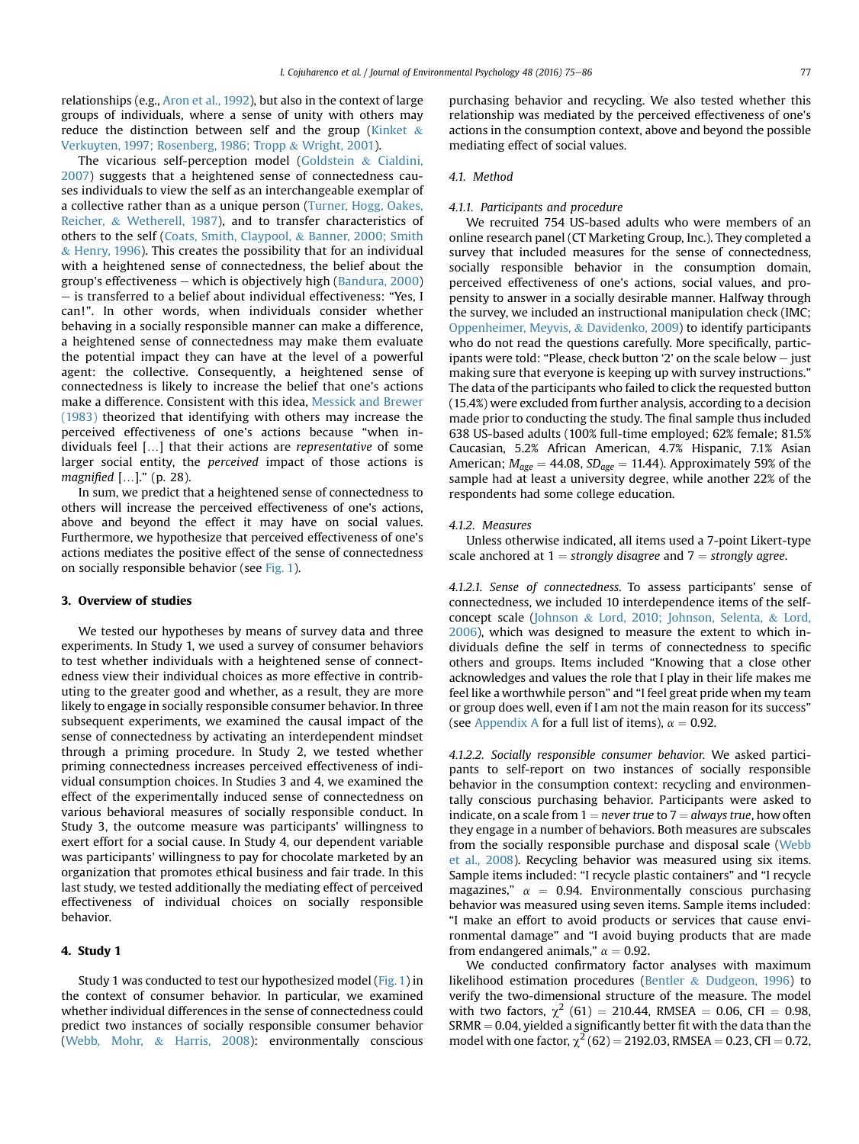relationships (e.g., [Aron et al., 1992](#page-9-0)), but also in the context of large groups of individuals, where a sense of unity with others may reduce the distinction between self and the group ([Kinket](#page-10-0) & [Verkuyten, 1997; Rosenberg, 1986; Tropp](#page-10-0) & [Wright, 2001\)](#page-10-0).

The vicarious self-perception model [\(Goldstein](#page-10-0) & [Cialdini,](#page-10-0) [2007](#page-10-0)) suggests that a heightened sense of connectedness causes individuals to view the self as an interchangeable exemplar of a collective rather than as a unique person ([Turner, Hogg, Oakes,](#page-11-0) [Reicher,](#page-11-0) & [Wetherell, 1987](#page-11-0)), and to transfer characteristics of others to the self [\(Coats, Smith, Claypool,](#page-10-0) & [Banner, 2000; Smith](#page-10-0)  $&$  [Henry, 1996\)](#page-10-0). This creates the possibility that for an individual with a heightened sense of connectedness, the belief about the group's effectiveness  $-$  which is objectively high [\(Bandura, 2000\)](#page-9-0)  $e$  is transferred to a belief about individual effectiveness: "Yes, I can!". In other words, when individuals consider whether behaving in a socially responsible manner can make a difference, a heightened sense of connectedness may make them evaluate the potential impact they can have at the level of a powerful agent: the collective. Consequently, a heightened sense of connectedness is likely to increase the belief that one's actions make a difference. Consistent with this idea, [Messick and Brewer](#page-10-0) [\(1983\)](#page-10-0) theorized that identifying with others may increase the perceived effectiveness of one's actions because "when individuals feel […] that their actions are representative of some larger social entity, the perceived impact of those actions is magnified […]." (p. 28).

In sum, we predict that a heightened sense of connectedness to others will increase the perceived effectiveness of one's actions, above and beyond the effect it may have on social values. Furthermore, we hypothesize that perceived effectiveness of one's actions mediates the positive effect of the sense of connectedness on socially responsible behavior (see [Fig. 1\)](#page-1-0).

### 3. Overview of studies

We tested our hypotheses by means of survey data and three experiments. In Study 1, we used a survey of consumer behaviors to test whether individuals with a heightened sense of connectedness view their individual choices as more effective in contributing to the greater good and whether, as a result, they are more likely to engage in socially responsible consumer behavior. In three subsequent experiments, we examined the causal impact of the sense of connectedness by activating an interdependent mindset through a priming procedure. In Study 2, we tested whether priming connectedness increases perceived effectiveness of individual consumption choices. In Studies 3 and 4, we examined the effect of the experimentally induced sense of connectedness on various behavioral measures of socially responsible conduct. In Study 3, the outcome measure was participants' willingness to exert effort for a social cause. In Study 4, our dependent variable was participants' willingness to pay for chocolate marketed by an organization that promotes ethical business and fair trade. In this last study, we tested additionally the mediating effect of perceived effectiveness of individual choices on socially responsible behavior.

### 4. Study 1

Study 1 was conducted to test our hypothesized model [\(Fig. 1](#page-1-0)) in the context of consumer behavior. In particular, we examined whether individual differences in the sense of connectedness could predict two instances of socially responsible consumer behavior ([Webb, Mohr,](#page-11-0) & [Harris, 2008](#page-11-0)): environmentally conscious purchasing behavior and recycling. We also tested whether this relationship was mediated by the perceived effectiveness of one's actions in the consumption context, above and beyond the possible mediating effect of social values.

# 4.1. Method

### 4.1.1. Participants and procedure

We recruited 754 US-based adults who were members of an online research panel (CT Marketing Group, Inc.). They completed a survey that included measures for the sense of connectedness, socially responsible behavior in the consumption domain, perceived effectiveness of one's actions, social values, and propensity to answer in a socially desirable manner. Halfway through the survey, we included an instructional manipulation check (IMC; [Oppenheimer, Meyvis,](#page-10-0) & [Davidenko, 2009\)](#page-10-0) to identify participants who do not read the questions carefully. More specifically, participants were told: "Please, check button '2' on the scale below  $-$  just making sure that everyone is keeping up with survey instructions." The data of the participants who failed to click the requested button (15.4%) were excluded from further analysis, according to a decision made prior to conducting the study. The final sample thus included 638 US-based adults (100% full-time employed; 62% female; 81.5% Caucasian, 5.2% African American, 4.7% Hispanic, 7.1% Asian American;  $M_{\text{age}} = 44.08$ ,  $SD_{\text{age}} = 11.44$ ). Approximately 59% of the sample had at least a university degree, while another 22% of the respondents had some college education.

### 4.1.2. Measures

Unless otherwise indicated, all items used a 7-point Likert-type scale anchored at  $1 =$  strongly disagree and  $7 =$  strongly agree.

4.1.2.1. Sense of connectedness. To assess participants' sense of connectedness, we included 10 interdependence items of the selfconcept scale ([Johnson](#page-10-0) & [Lord, 2010; Johnson, Selenta,](#page-10-0) & [Lord,](#page-10-0) [2006\)](#page-10-0), which was designed to measure the extent to which individuals define the self in terms of connectedness to specific others and groups. Items included "Knowing that a close other acknowledges and values the role that I play in their life makes me feel like a worthwhile person" and "I feel great pride when my team or group does well, even if I am not the main reason for its success" (see [Appendix A](#page-8-0) for a full list of items),  $\alpha = 0.92$ .

4.1.2.2. Socially responsible consumer behavior. We asked participants to self-report on two instances of socially responsible behavior in the consumption context: recycling and environmentally conscious purchasing behavior. Participants were asked to indicate, on a scale from  $1 =$  never true to  $7 =$  always true, how often they engage in a number of behaviors. Both measures are subscales from the socially responsible purchase and disposal scale ([Webb](#page-11-0) [et al., 2008](#page-11-0)). Recycling behavior was measured using six items. Sample items included: "I recycle plastic containers" and "I recycle magazines,"  $\alpha$  = 0.94. Environmentally conscious purchasing behavior was measured using seven items. Sample items included: "I make an effort to avoid products or services that cause environmental damage" and "I avoid buying products that are made from endangered animals,"  $\alpha = 0.92$ .

We conducted confirmatory factor analyses with maximum likelihood estimation procedures [\(Bentler](#page-9-0) & [Dudgeon, 1996\)](#page-9-0) to verify the two-dimensional structure of the measure. The model with two factors,  $\chi^2$  (61) = 210.44, RMSEA = 0.06, CFI = 0.98,  $SRMR = 0.04$ , yielded a significantly better fit with the data than the model with one factor,  $\chi^2$  (62) = 2192.03, RMSEA = 0.23, CFI = 0.72,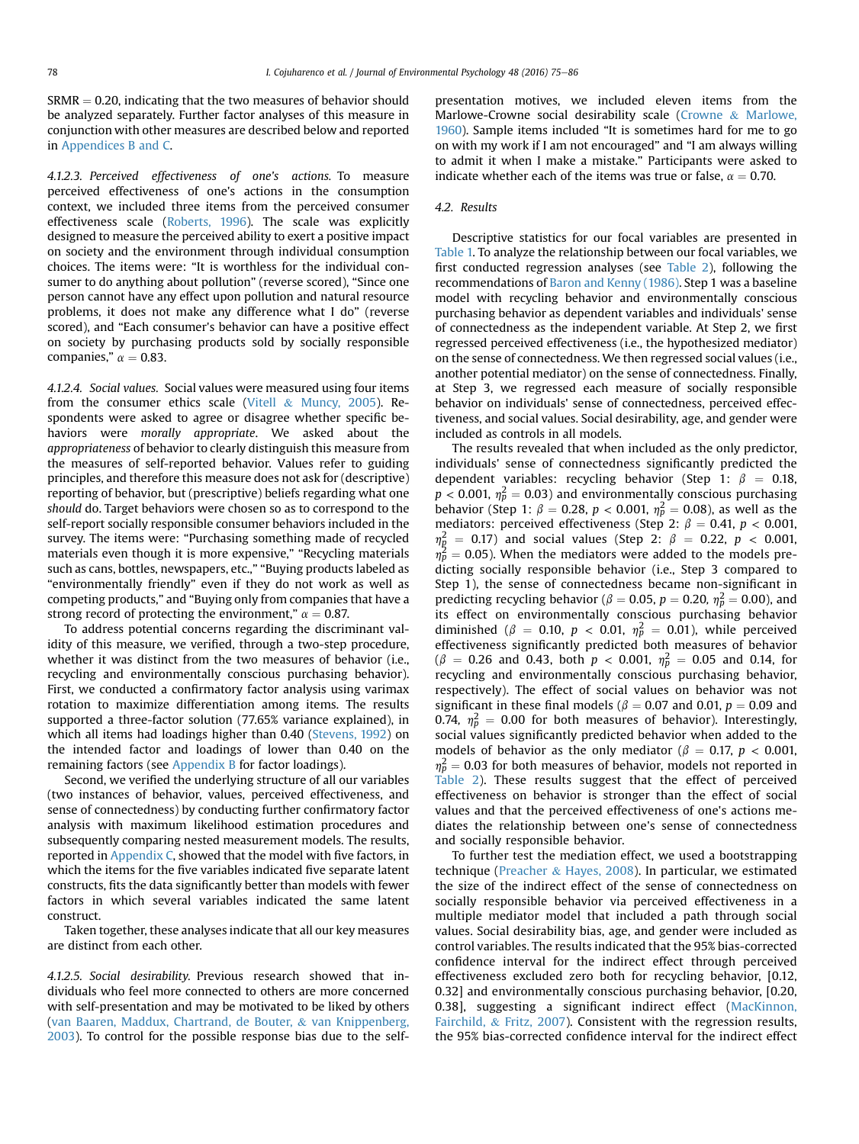$SRMR = 0.20$ , indicating that the two measures of behavior should be analyzed separately. Further factor analyses of this measure in conjunction with other measures are described below and reported in [Appendices B and C.](#page-9-0)

4.1.2.3. Perceived effectiveness of one's actions. To measure perceived effectiveness of one's actions in the consumption context, we included three items from the perceived consumer effectiveness scale ([Roberts, 1996\)](#page-10-0). The scale was explicitly designed to measure the perceived ability to exert a positive impact on society and the environment through individual consumption choices. The items were: "It is worthless for the individual consumer to do anything about pollution" (reverse scored), "Since one person cannot have any effect upon pollution and natural resource problems, it does not make any difference what I do" (reverse scored), and "Each consumer's behavior can have a positive effect on society by purchasing products sold by socially responsible companies,"  $\alpha = 0.83$ .

4.1.2.4. Social values. Social values were measured using four items from the consumer ethics scale ([Vitell](#page-11-0) & [Muncy, 2005\)](#page-11-0). Respondents were asked to agree or disagree whether specific behaviors were morally appropriate. We asked about the appropriateness of behavior to clearly distinguish this measure from the measures of self-reported behavior. Values refer to guiding principles, and therefore this measure does not ask for (descriptive) reporting of behavior, but (prescriptive) beliefs regarding what one should do. Target behaviors were chosen so as to correspond to the self-report socially responsible consumer behaviors included in the survey. The items were: "Purchasing something made of recycled materials even though it is more expensive," "Recycling materials such as cans, bottles, newspapers, etc.," "Buying products labeled as "environmentally friendly" even if they do not work as well as competing products," and "Buying only from companies that have a strong record of protecting the environment,"  $\alpha = 0.87$ .

To address potential concerns regarding the discriminant validity of this measure, we verified, through a two-step procedure, whether it was distinct from the two measures of behavior (i.e., recycling and environmentally conscious purchasing behavior). First, we conducted a confirmatory factor analysis using varimax rotation to maximize differentiation among items. The results supported a three-factor solution (77.65% variance explained), in which all items had loadings higher than 0.40 ([Stevens, 1992](#page-10-0)) on the intended factor and loadings of lower than 0.40 on the remaining factors (see [Appendix B](#page-9-0) for factor loadings).

Second, we verified the underlying structure of all our variables (two instances of behavior, values, perceived effectiveness, and sense of connectedness) by conducting further confirmatory factor analysis with maximum likelihood estimation procedures and subsequently comparing nested measurement models. The results, reported in [Appendix C,](#page-9-0) showed that the model with five factors, in which the items for the five variables indicated five separate latent constructs, fits the data significantly better than models with fewer factors in which several variables indicated the same latent construct.

Taken together, these analyses indicate that all our key measures are distinct from each other.

4.1.2.5. Social desirability. Previous research showed that individuals who feel more connected to others are more concerned with self-presentation and may be motivated to be liked by others ([van Baaren, Maddux, Chartrand, de Bouter,](#page-9-0) & [van Knippenberg,](#page-9-0) [2003](#page-9-0)). To control for the possible response bias due to the selfpresentation motives, we included eleven items from the Marlowe-Crowne social desirability scale [\(Crowne](#page-10-0) & [Marlowe,](#page-10-0) [1960](#page-10-0)). Sample items included "It is sometimes hard for me to go on with my work if I am not encouraged" and "I am always willing to admit it when I make a mistake." Participants were asked to indicate whether each of the items was true or false,  $\alpha = 0.70$ .

### 4.2. Results

Descriptive statistics for our focal variables are presented in [Table 1.](#page-4-0) To analyze the relationship between our focal variables, we first conducted regression analyses (see [Table 2\)](#page-4-0), following the recommendations of [Baron and Kenny \(1986\).](#page-9-0) Step 1 was a baseline model with recycling behavior and environmentally conscious purchasing behavior as dependent variables and individuals' sense of connectedness as the independent variable. At Step 2, we first regressed perceived effectiveness (i.e., the hypothesized mediator) on the sense of connectedness. We then regressed social values (i.e., another potential mediator) on the sense of connectedness. Finally, at Step 3, we regressed each measure of socially responsible behavior on individuals' sense of connectedness, perceived effectiveness, and social values. Social desirability, age, and gender were included as controls in all models.

The results revealed that when included as the only predictor, individuals' sense of connectedness significantly predicted the dependent variables: recycling behavior (Step 1:  $\beta$  = 0.18,  $p < 0.001$ ,  $\eta_p^2 = 0.03$ ) and environmentally conscious purchasing behavior (Step 1:  $\beta = 0.28$ ,  $p < 0.001$ ,  $\eta_p^2 = 0.08$ ), as well as the mediators: perceived effectiveness (Step 2:  $\beta = 0.41$ ,  $p < 0.001$ ,  $\eta_{\c{p}}^2$  = 0.17) and social values (Step 2:  $\beta$  = 0.22,  $p$  < 0.001,  $\eta_p^2 = 0.05$ ). When the mediators were added to the models predicting socially responsible behavior (i.e., Step 3 compared to Step 1), the sense of connectedness became non-significant in predicting recycling behavior ( $\beta = 0.05$ ,  $p = 0.20$ ,  $\eta_p^2 = 0.00$ ), and its effect on environmentally conscious purchasing behavior diminished ( $\beta = 0.10$ ,  $p < 0.01$ ,  $\eta_p^2 = 0.01$ ), while perceived effectiveness significantly predicted both measures of behavior  $(\beta = 0.26$  and 0.43, both  $p < 0.001$ ,  $\eta_p^2 = 0.05$  and 0.14, for recycling and environmentally conscious purchasing behavior, respectively). The effect of social values on behavior was not significant in these final models ( $\beta = 0.07$  and 0.01,  $p = 0.09$  and 0.74,  $\eta_p^2 = 0.00$  for both measures of behavior). Interestingly, social values significantly predicted behavior when added to the models of behavior as the only mediator ( $\beta = 0.17$ ,  $p < 0.001$ ,  $\eta_p^2 = 0.03$  for both measures of behavior, models not reported in [Table 2](#page-4-0)). These results suggest that the effect of perceived effectiveness on behavior is stronger than the effect of social values and that the perceived effectiveness of one's actions mediates the relationship between one's sense of connectedness and socially responsible behavior.

To further test the mediation effect, we used a bootstrapping technique [\(Preacher](#page-10-0) & [Hayes, 2008\)](#page-10-0). In particular, we estimated the size of the indirect effect of the sense of connectedness on socially responsible behavior via perceived effectiveness in a multiple mediator model that included a path through social values. Social desirability bias, age, and gender were included as control variables. The results indicated that the 95% bias-corrected confidence interval for the indirect effect through perceived effectiveness excluded zero both for recycling behavior, [0.12, 0.32] and environmentally conscious purchasing behavior, [0.20, 0.38], suggesting a significant indirect effect ([MacKinnon,](#page-10-0) [Fairchild,](#page-10-0) & [Fritz, 2007](#page-10-0)). Consistent with the regression results, the 95% bias-corrected confidence interval for the indirect effect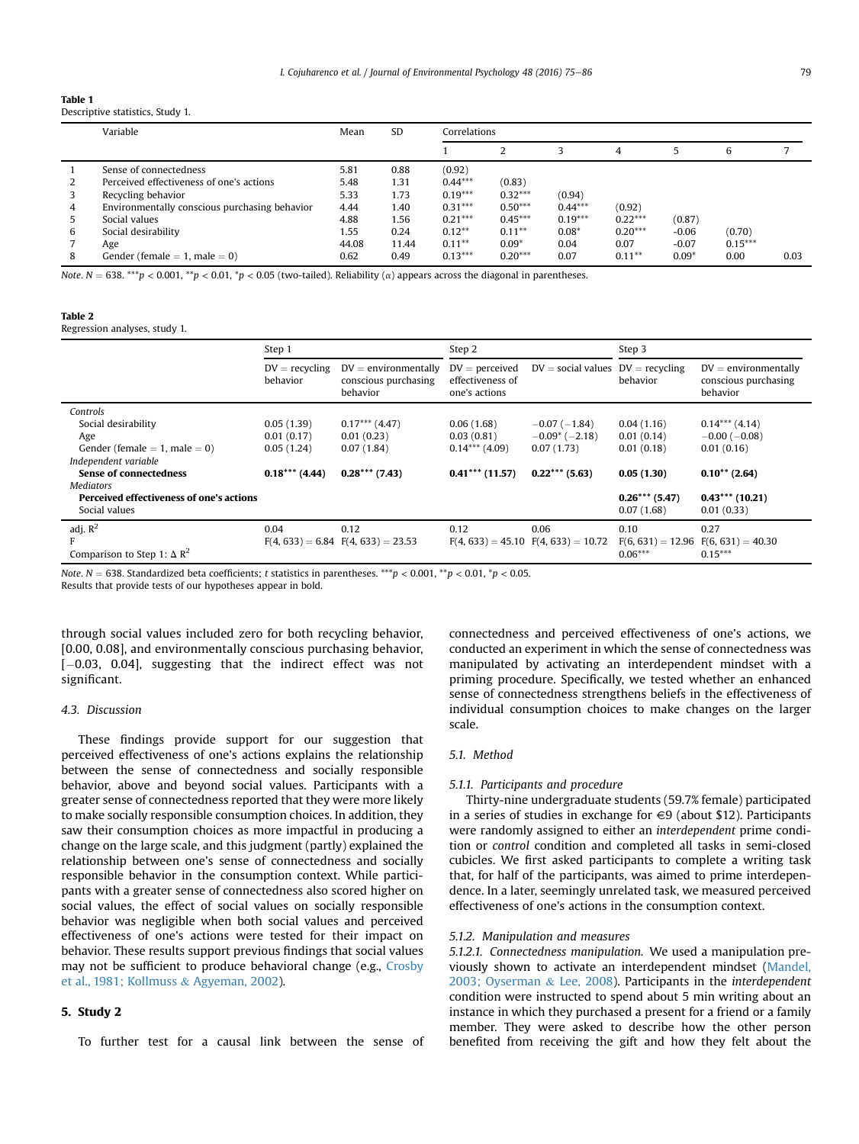| Descriptive statistics, Study 1. |  |
|----------------------------------|--|
| iabie i                          |  |

|   | Variable                                      | Mean  | <b>SD</b> | Correlations |           |           |           |         |           |      |
|---|-----------------------------------------------|-------|-----------|--------------|-----------|-----------|-----------|---------|-----------|------|
|   |                                               |       |           |              |           |           | 4         |         | 6         |      |
|   | Sense of connectedness                        | 5.81  | 0.88      | (0.92)       |           |           |           |         |           |      |
|   | Perceived effectiveness of one's actions      | 5.48  | 1.31      | $0.44***$    | (0.83)    |           |           |         |           |      |
|   | Recycling behavior                            | 5.33  | 1.73      | $0.19***$    | $0.32***$ | (0.94)    |           |         |           |      |
| 4 | Environmentally conscious purchasing behavior | 4.44  | 1.40      | $0.31***$    | $0.50***$ | $0.44***$ | (0.92)    |         |           |      |
|   | Social values                                 | 4.88  | 1.56      | $0.21***$    | $0.45***$ | $0.19***$ | $0.22***$ | (0.87)  |           |      |
| 6 | Social desirability                           | 1.55  | 0.24      | $0.12***$    | $0.11***$ | $0.08*$   | $0.20***$ | $-0.06$ | (0.70)    |      |
|   | Age                                           | 44.08 | 11.44     | $0.11***$    | $0.09*$   | 0.04      | 0.07      | $-0.07$ | $0.15***$ |      |
| 8 | Gender (female $= 1$ , male $= 0$ )           | 0.62  | 0.49      | $0.13***$    | $0.20***$ | 0.07      | $0.11***$ | $0.09*$ | 0.00      | 0.03 |

Note. N = 638. \*\*\*p < 0.001, \*\*p < 0.01, \*p < 0.05 (two-tailed). Reliability ( $\alpha$ ) appears across the diagonal in parentheses.

### Table 2

<span id="page-4-0"></span> $T = T$ 

Regression analyses, study 1.

|                                                 | Step 1                       |                                                            | Step 2                                                |                                         | Step 3              |                                                            |  |
|-------------------------------------------------|------------------------------|------------------------------------------------------------|-------------------------------------------------------|-----------------------------------------|---------------------|------------------------------------------------------------|--|
|                                                 | $DV =$ recycling<br>behavior | $DV =$ environmentally<br>conscious purchasing<br>behavior | $DV =$ perceived<br>effectiveness of<br>one's actions | $DV = social$ values $DV =$ recycling   | behavior            | $DV =$ environmentally<br>conscious purchasing<br>behavior |  |
| Controls                                        |                              |                                                            |                                                       |                                         |                     |                                                            |  |
| Social desirability                             | 0.05(1.39)                   | $0.17***$ (4.47)                                           | 0.06(1.68)                                            | $-0.07(-1.84)$                          | 0.04(1.16)          | $0.14***$ (4.14)                                           |  |
| Age                                             | 0.01(0.17)                   | 0.01(0.23)                                                 | 0.03(0.81)                                            | $-0.09^{\ast}$ (-2.18)                  | 0.01(0.14)          | $-0.00$ ( $-0.08$ )                                        |  |
| Gender (female $= 1$ , male $= 0$ )             | 0.05(1.24)                   | 0.07(1.84)                                                 | $0.14***$ (4.09)                                      | 0.07(1.73)                              | 0.01(0.18)          | 0.01(0.16)                                                 |  |
| Independent variable                            |                              |                                                            |                                                       |                                         |                     |                                                            |  |
| <b>Sense of connectedness</b>                   | $0.18***$ (4.44)             | $0.28***$ (7.43)                                           | $0.41***$ (11.57)                                     | $0.22***$ (5.63)                        | 0.05(1.30)          | $0.10^{**}$ (2.64)                                         |  |
| <b>Mediators</b>                                |                              |                                                            |                                                       |                                         |                     |                                                            |  |
| <b>Perceived effectiveness of one's actions</b> |                              |                                                            |                                                       |                                         | $0.26***$ (5.47)    | $0.43***$ (10.21)                                          |  |
| Social values                                   |                              |                                                            |                                                       |                                         | 0.07(1.68)          | 0.01(0.33)                                                 |  |
| adj. $R^2$                                      | 0.04                         | 0.12                                                       | 0.12                                                  | 0.06                                    | 0.10                | 0.27                                                       |  |
|                                                 |                              | $F(4, 633) = 6.84$ $F(4, 633) = 23.53$                     |                                                       | $F(4, 633) = 45.10$ $F(4, 633) = 10.72$ | $F(6, 631) = 12.96$ | $F(6, 631) = 40.30$                                        |  |
| Comparison to Step 1: $\Delta$ R <sup>2</sup>   |                              |                                                            |                                                       |                                         | $0.06***$           | $0.15***$                                                  |  |

Note.  $N = 638$ . Standardized beta coefficients; t statistics in parentheses. \*\*\*p < 0.001, \*\*p < 0.01, \*p < 0.05.

Results that provide tests of our hypotheses appear in bold.

through social values included zero for both recycling behavior, [0.00, 0.08], and environmentally conscious purchasing behavior, [-0.03, 0.04], suggesting that the indirect effect was not significant.

### 4.3. Discussion

These findings provide support for our suggestion that perceived effectiveness of one's actions explains the relationship between the sense of connectedness and socially responsible behavior, above and beyond social values. Participants with a greater sense of connectedness reported that they were more likely to make socially responsible consumption choices. In addition, they saw their consumption choices as more impactful in producing a change on the large scale, and this judgment (partly) explained the relationship between one's sense of connectedness and socially responsible behavior in the consumption context. While participants with a greater sense of connectedness also scored higher on social values, the effect of social values on socially responsible behavior was negligible when both social values and perceived effectiveness of one's actions were tested for their impact on behavior. These results support previous findings that social values may not be sufficient to produce behavioral change (e.g., [Crosby](#page-10-0) [et al., 1981; Kollmuss](#page-10-0) & [Agyeman, 2002](#page-10-0)).

### 5. Study 2

To further test for a causal link between the sense of

connectedness and perceived effectiveness of one's actions, we conducted an experiment in which the sense of connectedness was manipulated by activating an interdependent mindset with a priming procedure. Specifically, we tested whether an enhanced sense of connectedness strengthens beliefs in the effectiveness of individual consumption choices to make changes on the larger scale.

## 5.1. Method

# 5.1.1. Participants and procedure

Thirty-nine undergraduate students (59.7% female) participated in a series of studies in exchange for  $\in$ 9 (about \$12). Participants were randomly assigned to either an interdependent prime condition or control condition and completed all tasks in semi-closed cubicles. We first asked participants to complete a writing task that, for half of the participants, was aimed to prime interdependence. In a later, seemingly unrelated task, we measured perceived effectiveness of one's actions in the consumption context.

### 5.1.2. Manipulation and measures

5.1.2.1. Connectedness manipulation. We used a manipulation previously shown to activate an interdependent mindset [\(Mandel,](#page-10-0) [2003; Oyserman](#page-10-0) & [Lee, 2008](#page-10-0)). Participants in the interdependent condition were instructed to spend about 5 min writing about an instance in which they purchased a present for a friend or a family member. They were asked to describe how the other person benefited from receiving the gift and how they felt about the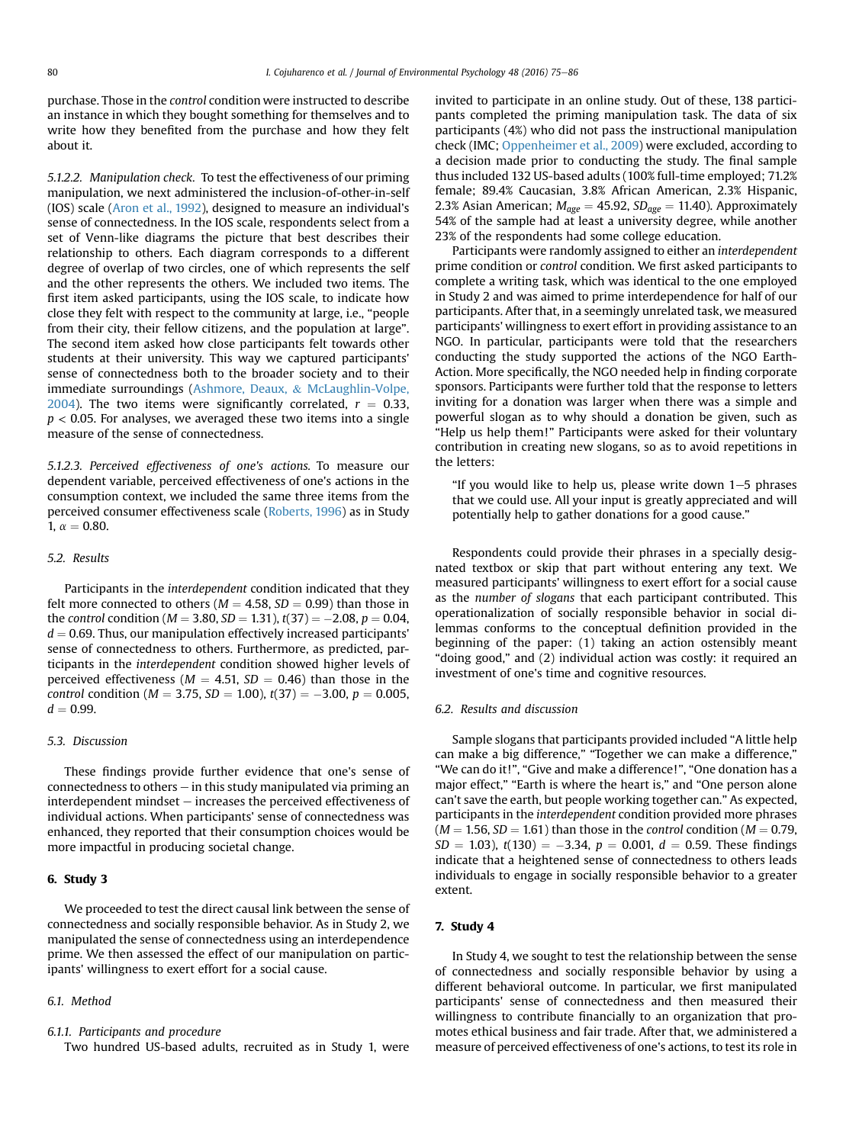purchase. Those in the control condition were instructed to describe an instance in which they bought something for themselves and to write how they benefited from the purchase and how they felt about it.

5.1.2.2. Manipulation check. To test the effectiveness of our priming manipulation, we next administered the inclusion-of-other-in-self (IOS) scale [\(Aron et al., 1992\)](#page-9-0), designed to measure an individual's sense of connectedness. In the IOS scale, respondents select from a set of Venn-like diagrams the picture that best describes their relationship to others. Each diagram corresponds to a different degree of overlap of two circles, one of which represents the self and the other represents the others. We included two items. The first item asked participants, using the IOS scale, to indicate how close they felt with respect to the community at large, i.e., "people from their city, their fellow citizens, and the population at large". The second item asked how close participants felt towards other students at their university. This way we captured participants' sense of connectedness both to the broader society and to their immediate surroundings [\(Ashmore, Deaux,](#page-9-0) & [McLaughlin-Volpe,](#page-9-0) [2004](#page-9-0)). The two items were significantly correlated,  $r = 0.33$ ,  $p < 0.05$ . For analyses, we averaged these two items into a single measure of the sense of connectedness.

5.1.2.3. Perceived effectiveness of one's actions. To measure our dependent variable, perceived effectiveness of one's actions in the consumption context, we included the same three items from the perceived consumer effectiveness scale [\(Roberts, 1996\)](#page-10-0) as in Study 1,  $\alpha = 0.80$ .

### 5.2. Results

Participants in the interdependent condition indicated that they felt more connected to others ( $M = 4.58$ ,  $SD = 0.99$ ) than those in the control condition ( $M = 3.80$ ,  $SD = 1.31$ ),  $t(37) = -2.08$ ,  $p = 0.04$ ,  $d = 0.69$ . Thus, our manipulation effectively increased participants' sense of connectedness to others. Furthermore, as predicted, participants in the interdependent condition showed higher levels of perceived effectiveness ( $M = 4.51$ ,  $SD = 0.46$ ) than those in the *control condition* (*M* = 3.75, *SD* = 1.00),  $t(37) = -3.00$ ,  $p = 0.005$ ,  $d = 0.99.$ 

### 5.3. Discussion

These findings provide further evidence that one's sense of connectedness to others  $-$  in this study manipulated via priming an  $interdependent$  mindset  $-$  increases the perceived effectiveness of individual actions. When participants' sense of connectedness was enhanced, they reported that their consumption choices would be more impactful in producing societal change.

# 6. Study 3

We proceeded to test the direct causal link between the sense of connectedness and socially responsible behavior. As in Study 2, we manipulated the sense of connectedness using an interdependence prime. We then assessed the effect of our manipulation on participants' willingness to exert effort for a social cause.

### 6.1. Method

### 6.1.1. Participants and procedure

Two hundred US-based adults, recruited as in Study 1, were

invited to participate in an online study. Out of these, 138 participants completed the priming manipulation task. The data of six participants (4%) who did not pass the instructional manipulation check (IMC; [Oppenheimer et al., 2009\)](#page-10-0) were excluded, according to a decision made prior to conducting the study. The final sample thus included 132 US-based adults (100% full-time employed; 71.2% female; 89.4% Caucasian, 3.8% African American, 2.3% Hispanic, 2.3% Asian American;  $M_{\text{age}} = 45.92$ ,  $SD_{\text{age}} = 11.40$ ). Approximately 54% of the sample had at least a university degree, while another 23% of the respondents had some college education.

Participants were randomly assigned to either an interdependent prime condition or control condition. We first asked participants to complete a writing task, which was identical to the one employed in Study 2 and was aimed to prime interdependence for half of our participants. After that, in a seemingly unrelated task, we measured participants' willingness to exert effort in providing assistance to an NGO. In particular, participants were told that the researchers conducting the study supported the actions of the NGO Earth-Action. More specifically, the NGO needed help in finding corporate sponsors. Participants were further told that the response to letters inviting for a donation was larger when there was a simple and powerful slogan as to why should a donation be given, such as "Help us help them!" Participants were asked for their voluntary contribution in creating new slogans, so as to avoid repetitions in the letters:

"If you would like to help us, please write down  $1-5$  phrases that we could use. All your input is greatly appreciated and will potentially help to gather donations for a good cause."

Respondents could provide their phrases in a specially designated textbox or skip that part without entering any text. We measured participants' willingness to exert effort for a social cause as the number of slogans that each participant contributed. This operationalization of socially responsible behavior in social dilemmas conforms to the conceptual definition provided in the beginning of the paper: (1) taking an action ostensibly meant "doing good," and (2) individual action was costly: it required an investment of one's time and cognitive resources.

### 6.2. Results and discussion

Sample slogans that participants provided included "A little help can make a big difference," "Together we can make a difference," "We can do it!", "Give and make a difference!", "One donation has a major effect," "Earth is where the heart is," and "One person alone can't save the earth, but people working together can." As expected, participants in the interdependent condition provided more phrases  $(M = 1.56, SD = 1.61)$  than those in the control condition  $(M = 0.79,$  $SD = 1.03$ ,  $t(130) = -3.34$ ,  $p = 0.001$ ,  $d = 0.59$ . These findings indicate that a heightened sense of connectedness to others leads individuals to engage in socially responsible behavior to a greater extent.

# 7. Study 4

In Study 4, we sought to test the relationship between the sense of connectedness and socially responsible behavior by using a different behavioral outcome. In particular, we first manipulated participants' sense of connectedness and then measured their willingness to contribute financially to an organization that promotes ethical business and fair trade. After that, we administered a measure of perceived effectiveness of one's actions, to test its role in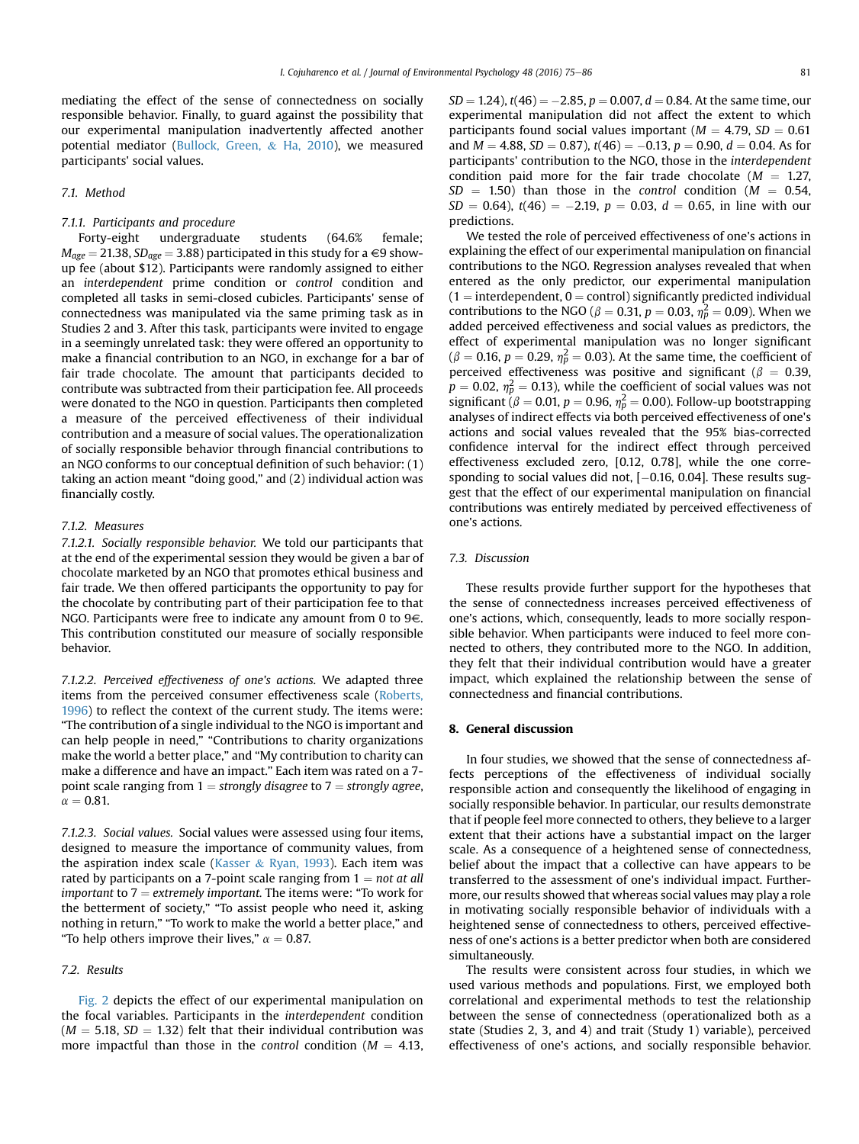mediating the effect of the sense of connectedness on socially responsible behavior. Finally, to guard against the possibility that our experimental manipulation inadvertently affected another potential mediator ([Bullock, Green,](#page-9-0) & [Ha, 2010](#page-9-0)), we measured participants' social values.

# 7.1. Method

### 7.1.1. Participants and procedure

Forty-eight undergraduate students (64.6% female;  $M_{age} = 21.38$ ,  $SD_{age} = 3.88$ ) participated in this study for a  $\in$ 9 showup fee (about \$12). Participants were randomly assigned to either an interdependent prime condition or control condition and completed all tasks in semi-closed cubicles. Participants' sense of connectedness was manipulated via the same priming task as in Studies 2 and 3. After this task, participants were invited to engage in a seemingly unrelated task: they were offered an opportunity to make a financial contribution to an NGO, in exchange for a bar of fair trade chocolate. The amount that participants decided to contribute was subtracted from their participation fee. All proceeds were donated to the NGO in question. Participants then completed a measure of the perceived effectiveness of their individual contribution and a measure of social values. The operationalization of socially responsible behavior through financial contributions to an NGO conforms to our conceptual definition of such behavior: (1) taking an action meant "doing good," and (2) individual action was financially costly.

# 7.1.2. Measures

7.1.2.1. Socially responsible behavior. We told our participants that at the end of the experimental session they would be given a bar of chocolate marketed by an NGO that promotes ethical business and fair trade. We then offered participants the opportunity to pay for the chocolate by contributing part of their participation fee to that NGO. Participants were free to indicate any amount from 0 to  $9 \in$ . This contribution constituted our measure of socially responsible behavior.

7.1.2.2. Perceived effectiveness of one's actions. We adapted three items from the perceived consumer effectiveness scale [\(Roberts,](#page-10-0) [1996\)](#page-10-0) to reflect the context of the current study. The items were: "The contribution of a single individual to the NGO is important and can help people in need," "Contributions to charity organizations make the world a better place," and "My contribution to charity can make a difference and have an impact." Each item was rated on a 7 point scale ranging from  $1 =$  strongly disagree to  $7 =$  strongly agree,  $\alpha = 0.81$ .

7.1.2.3. Social values. Social values were assessed using four items, designed to measure the importance of community values, from the aspiration index scale [\(Kasser](#page-10-0) & [Ryan, 1993\)](#page-10-0). Each item was rated by participants on a 7-point scale ranging from  $1 = not$  at all important to  $7 =$  extremely important. The items were: "To work for the betterment of society," "To assist people who need it, asking nothing in return," "To work to make the world a better place," and "To help others improve their lives,"  $\alpha = 0.87$ .

### 7.2. Results

[Fig. 2](#page-7-0) depicts the effect of our experimental manipulation on the focal variables. Participants in the interdependent condition  $(M = 5.18, SD = 1.32)$  felt that their individual contribution was more impactful than those in the *control* condition ( $M = 4.13$ ,

 $SD = 1.24$ ),  $t(46) = -2.85$ ,  $p = 0.007$ ,  $d = 0.84$ . At the same time, our experimental manipulation did not affect the extent to which participants found social values important ( $M = 4.79$ ,  $SD = 0.61$ and  $M = 4.88$ , SD = 0.87),  $t(46) = -0.13$ ,  $p = 0.90$ ,  $d = 0.04$ . As for participants' contribution to the NGO, those in the interdependent condition paid more for the fair trade chocolate ( $M = 1.27$ ,  $SD = 1.50$ ) than those in the control condition ( $M = 0.54$ ,  $SD = 0.64$ ),  $t(46) = -2.19$ ,  $p = 0.03$ ,  $d = 0.65$ , in line with our predictions.

We tested the role of perceived effectiveness of one's actions in explaining the effect of our experimental manipulation on financial contributions to the NGO. Regression analyses revealed that when entered as the only predictor, our experimental manipulation  $(1 =$  interdependent,  $0 =$  control) significantly predicted individual contributions to the NGO ( $\beta = 0.31$ ,  $p = 0.03$ ,  $\eta_p^2 = 0.09$ ). When we added perceived effectiveness and social values as predictors, the effect of experimental manipulation was no longer significant  $(\beta = 0.16, p = 0.29, \eta_p^2 = 0.03)$ . At the same time, the coefficient of perceived effectiveness was positive and significant ( $\beta = 0.39$ ,  $p = 0.02$ ,  $\eta_p^2 = 0.13$ ), while the coefficient of social values was not significant ( $\beta = 0.01$ ,  $p = 0.96$ ,  $\eta_p^2 = 0.00$ ). Follow-up bootstrapping analyses of indirect effects via both perceived effectiveness of one's actions and social values revealed that the 95% bias-corrected confidence interval for the indirect effect through perceived effectiveness excluded zero, [0.12, 0.78], while the one corresponding to social values did not, [-0.16, 0.04]. These results suggest that the effect of our experimental manipulation on financial contributions was entirely mediated by perceived effectiveness of one's actions.

# 7.3. Discussion

These results provide further support for the hypotheses that the sense of connectedness increases perceived effectiveness of one's actions, which, consequently, leads to more socially responsible behavior. When participants were induced to feel more connected to others, they contributed more to the NGO. In addition, they felt that their individual contribution would have a greater impact, which explained the relationship between the sense of connectedness and financial contributions.

# 8. General discussion

In four studies, we showed that the sense of connectedness affects perceptions of the effectiveness of individual socially responsible action and consequently the likelihood of engaging in socially responsible behavior. In particular, our results demonstrate that if people feel more connected to others, they believe to a larger extent that their actions have a substantial impact on the larger scale. As a consequence of a heightened sense of connectedness, belief about the impact that a collective can have appears to be transferred to the assessment of one's individual impact. Furthermore, our results showed that whereas social values may play a role in motivating socially responsible behavior of individuals with a heightened sense of connectedness to others, perceived effectiveness of one's actions is a better predictor when both are considered simultaneously.

The results were consistent across four studies, in which we used various methods and populations. First, we employed both correlational and experimental methods to test the relationship between the sense of connectedness (operationalized both as a state (Studies 2, 3, and 4) and trait (Study 1) variable), perceived effectiveness of one's actions, and socially responsible behavior.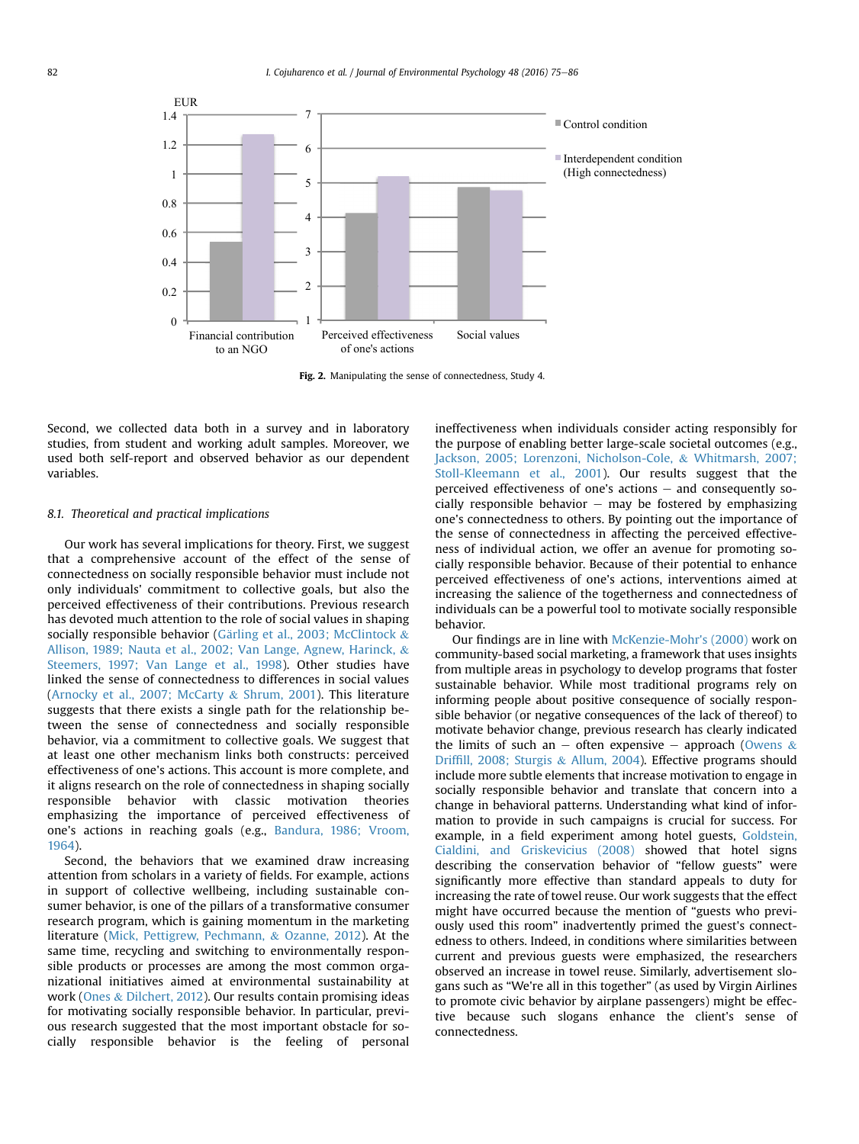<span id="page-7-0"></span>

Fig. 2. Manipulating the sense of connectedness, Study 4.

Second, we collected data both in a survey and in laboratory studies, from student and working adult samples. Moreover, we used both self-report and observed behavior as our dependent variables.

### 8.1. Theoretical and practical implications

Our work has several implications for theory. First, we suggest that a comprehensive account of the effect of the sense of connectedness on socially responsible behavior must include not only individuals' commitment to collective goals, but also the perceived effectiveness of their contributions. Previous research has devoted much attention to the role of social values in shaping socially responsible behavior (Gärling et al., 2003; McClintock & [Allison, 1989; Nauta et al., 2002; Van Lange, Agnew, Harinck,](#page-10-0) & [Steemers, 1997; Van Lange et al., 1998\)](#page-10-0). Other studies have linked the sense of connectedness to differences in social values ([Arnocky et al., 2007; McCarty](#page-9-0) & [Shrum, 2001\)](#page-9-0). This literature suggests that there exists a single path for the relationship between the sense of connectedness and socially responsible behavior, via a commitment to collective goals. We suggest that at least one other mechanism links both constructs: perceived effectiveness of one's actions. This account is more complete, and it aligns research on the role of connectedness in shaping socially responsible behavior with classic motivation theories emphasizing the importance of perceived effectiveness of one's actions in reaching goals (e.g., [Bandura, 1986; Vroom,](#page-9-0) [1964\)](#page-9-0).

Second, the behaviors that we examined draw increasing attention from scholars in a variety of fields. For example, actions in support of collective wellbeing, including sustainable consumer behavior, is one of the pillars of a transformative consumer research program, which is gaining momentum in the marketing literature [\(Mick, Pettigrew, Pechmann,](#page-10-0) & [Ozanne, 2012\)](#page-10-0). At the same time, recycling and switching to environmentally responsible products or processes are among the most common organizational initiatives aimed at environmental sustainability at work ([Ones](#page-10-0) & [Dilchert, 2012](#page-10-0)). Our results contain promising ideas for motivating socially responsible behavior. In particular, previous research suggested that the most important obstacle for socially responsible behavior is the feeling of personal ineffectiveness when individuals consider acting responsibly for the purpose of enabling better large-scale societal outcomes (e.g., [Jackson, 2005; Lorenzoni, Nicholson-Cole,](#page-10-0) & [Whitmarsh, 2007;](#page-10-0) [Stoll-Kleemann et al., 2001\)](#page-10-0). Our results suggest that the perceived effectiveness of one's actions  $-$  and consequently socially responsible behavior  $-$  may be fostered by emphasizing one's connectedness to others. By pointing out the importance of the sense of connectedness in affecting the perceived effectiveness of individual action, we offer an avenue for promoting socially responsible behavior. Because of their potential to enhance perceived effectiveness of one's actions, interventions aimed at increasing the salience of the togetherness and connectedness of individuals can be a powerful tool to motivate socially responsible behavior.

Our findings are in line with [McKenzie-Mohr's \(2000\)](#page-10-0) work on community-based social marketing, a framework that uses insights from multiple areas in psychology to develop programs that foster sustainable behavior. While most traditional programs rely on informing people about positive consequence of socially responsible behavior (or negative consequences of the lack of thereof) to motivate behavior change, previous research has clearly indicated the limits of such an  $-$  often expensive  $-$  approach ([Owens](#page-10-0) & Driffi[ll, 2008; Sturgis](#page-10-0) & [Allum, 2004\)](#page-10-0). Effective programs should include more subtle elements that increase motivation to engage in socially responsible behavior and translate that concern into a change in behavioral patterns. Understanding what kind of information to provide in such campaigns is crucial for success. For example, in a field experiment among hotel guests, [Goldstein,](#page-10-0) [Cialdini, and Griskevicius \(2008\)](#page-10-0) showed that hotel signs describing the conservation behavior of "fellow guests" were significantly more effective than standard appeals to duty for increasing the rate of towel reuse. Our work suggests that the effect might have occurred because the mention of "guests who previously used this room" inadvertently primed the guest's connectedness to others. Indeed, in conditions where similarities between current and previous guests were emphasized, the researchers observed an increase in towel reuse. Similarly, advertisement slogans such as "We're all in this together" (as used by Virgin Airlines to promote civic behavior by airplane passengers) might be effective because such slogans enhance the client's sense of connectedness.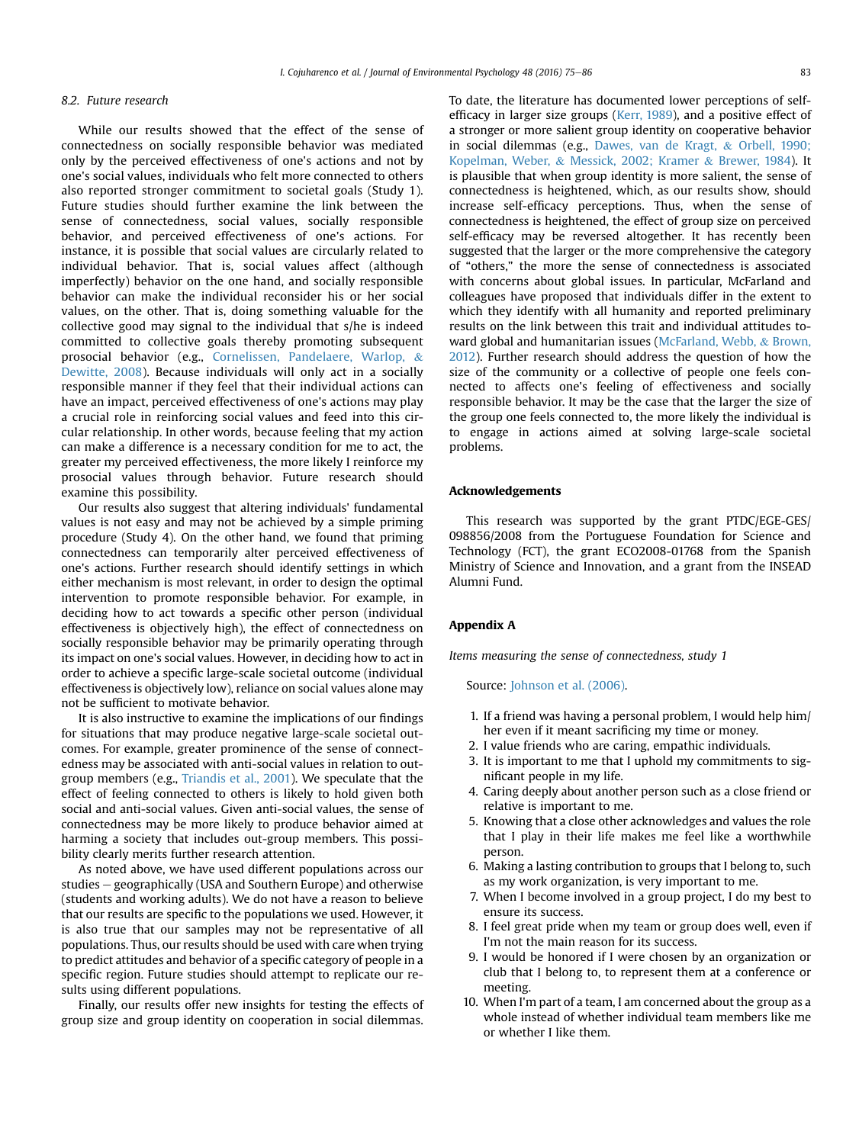### <span id="page-8-0"></span>8.2. Future research

While our results showed that the effect of the sense of connectedness on socially responsible behavior was mediated only by the perceived effectiveness of one's actions and not by one's social values, individuals who felt more connected to others also reported stronger commitment to societal goals (Study 1). Future studies should further examine the link between the sense of connectedness, social values, socially responsible behavior, and perceived effectiveness of one's actions. For instance, it is possible that social values are circularly related to individual behavior. That is, social values affect (although imperfectly) behavior on the one hand, and socially responsible behavior can make the individual reconsider his or her social values, on the other. That is, doing something valuable for the collective good may signal to the individual that s/he is indeed committed to collective goals thereby promoting subsequent prosocial behavior (e.g., [Cornelissen, Pandelaere, Warlop,](#page-10-0) & [Dewitte, 2008\)](#page-10-0). Because individuals will only act in a socially responsible manner if they feel that their individual actions can have an impact, perceived effectiveness of one's actions may play a crucial role in reinforcing social values and feed into this circular relationship. In other words, because feeling that my action can make a difference is a necessary condition for me to act, the greater my perceived effectiveness, the more likely I reinforce my prosocial values through behavior. Future research should examine this possibility.

Our results also suggest that altering individuals' fundamental values is not easy and may not be achieved by a simple priming procedure (Study 4). On the other hand, we found that priming connectedness can temporarily alter perceived effectiveness of one's actions. Further research should identify settings in which either mechanism is most relevant, in order to design the optimal intervention to promote responsible behavior. For example, in deciding how to act towards a specific other person (individual effectiveness is objectively high), the effect of connectedness on socially responsible behavior may be primarily operating through its impact on one's social values. However, in deciding how to act in order to achieve a specific large-scale societal outcome (individual effectiveness is objectively low), reliance on social values alone may not be sufficient to motivate behavior.

It is also instructive to examine the implications of our findings for situations that may produce negative large-scale societal outcomes. For example, greater prominence of the sense of connectedness may be associated with anti-social values in relation to outgroup members (e.g., [Triandis et al., 2001\)](#page-11-0). We speculate that the effect of feeling connected to others is likely to hold given both social and anti-social values. Given anti-social values, the sense of connectedness may be more likely to produce behavior aimed at harming a society that includes out-group members. This possibility clearly merits further research attention.

As noted above, we have used different populations across our studies – geographically (USA and Southern Europe) and otherwise (students and working adults). We do not have a reason to believe that our results are specific to the populations we used. However, it is also true that our samples may not be representative of all populations. Thus, our results should be used with care when trying to predict attitudes and behavior of a specific category of people in a specific region. Future studies should attempt to replicate our results using different populations.

Finally, our results offer new insights for testing the effects of group size and group identity on cooperation in social dilemmas.

To date, the literature has documented lower perceptions of selfefficacy in larger size groups ([Kerr, 1989](#page-10-0)), and a positive effect of a stronger or more salient group identity on cooperative behavior in social dilemmas (e.g., [Dawes, van de Kragt,](#page-10-0) & [Orbell, 1990;](#page-10-0) [Kopelman, Weber,](#page-10-0) & [Messick, 2002; Kramer](#page-10-0) & [Brewer, 1984\)](#page-10-0). It is plausible that when group identity is more salient, the sense of connectedness is heightened, which, as our results show, should increase self-efficacy perceptions. Thus, when the sense of connectedness is heightened, the effect of group size on perceived self-efficacy may be reversed altogether. It has recently been suggested that the larger or the more comprehensive the category of "others," the more the sense of connectedness is associated with concerns about global issues. In particular, McFarland and colleagues have proposed that individuals differ in the extent to which they identify with all humanity and reported preliminary results on the link between this trait and individual attitudes toward global and humanitarian issues ([McFarland, Webb,](#page-10-0) & [Brown,](#page-10-0) [2012\)](#page-10-0). Further research should address the question of how the size of the community or a collective of people one feels connected to affects one's feeling of effectiveness and socially responsible behavior. It may be the case that the larger the size of the group one feels connected to, the more likely the individual is to engage in actions aimed at solving large-scale societal problems.

#### Acknowledgements

This research was supported by the grant PTDC/EGE-GES/ 098856/2008 from the Portuguese Foundation for Science and Technology (FCT), the grant ECO2008-01768 from the Spanish Ministry of Science and Innovation, and a grant from the INSEAD Alumni Fund.

# Appendix A

Items measuring the sense of connectedness, study 1

Source: [Johnson et al. \(2006\)](#page-10-0).

- 1. If a friend was having a personal problem, I would help him/ her even if it meant sacrificing my time or money.
- 2. I value friends who are caring, empathic individuals.
- 3. It is important to me that I uphold my commitments to significant people in my life.
- 4. Caring deeply about another person such as a close friend or relative is important to me.
- 5. Knowing that a close other acknowledges and values the role that I play in their life makes me feel like a worthwhile person.
- 6. Making a lasting contribution to groups that I belong to, such as my work organization, is very important to me.
- 7. When I become involved in a group project, I do my best to ensure its success.
- 8. I feel great pride when my team or group does well, even if I'm not the main reason for its success.
- 9. I would be honored if I were chosen by an organization or club that I belong to, to represent them at a conference or meeting.
- 10. When I'm part of a team, I am concerned about the group as a whole instead of whether individual team members like me or whether I like them.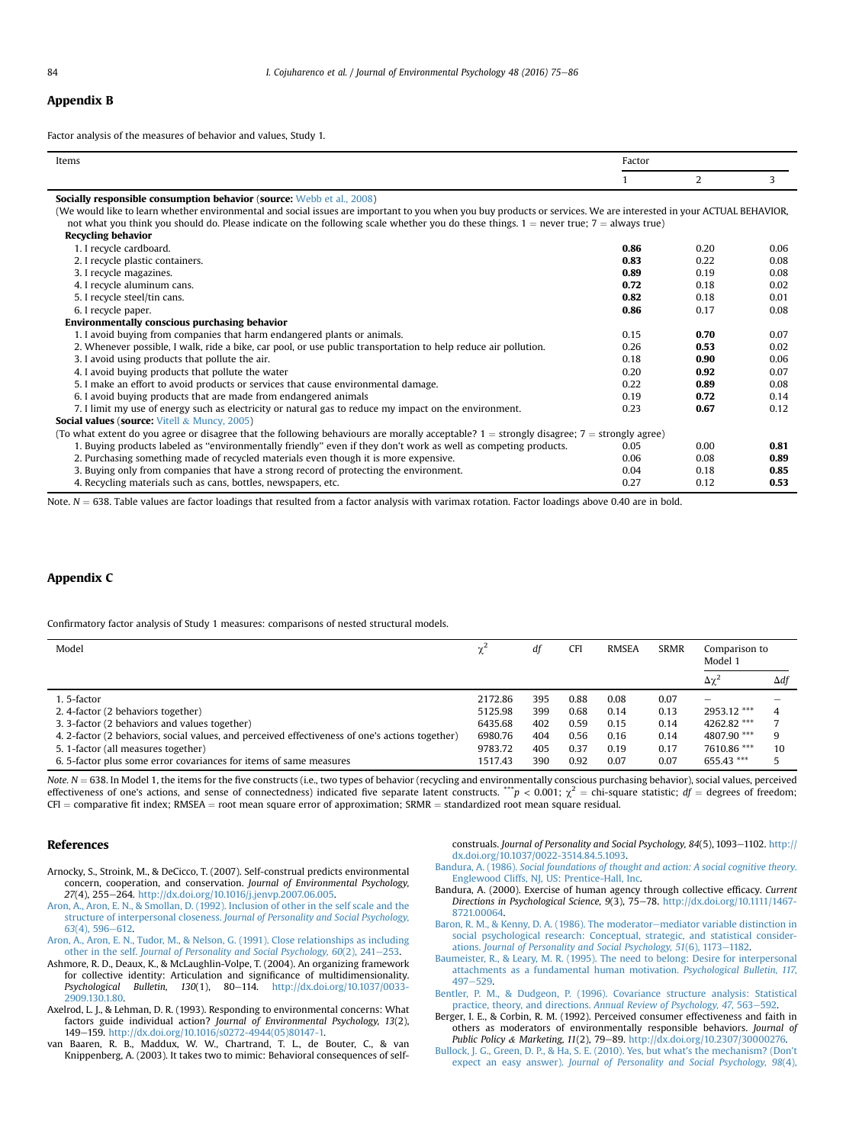### <span id="page-9-0"></span>Appendix B

Factor analysis of the measures of behavior and values, Study 1.

| Items                                                                                                                                                              | Factor |      |      |
|--------------------------------------------------------------------------------------------------------------------------------------------------------------------|--------|------|------|
|                                                                                                                                                                    |        | 2    | 3    |
| Socially responsible consumption behavior (source: Webb et al., 2008)                                                                                              |        |      |      |
| (We would like to learn whether environmental and social issues are important to you when you buy products or services. We are interested in your ACTUAL BEHAVIOR, |        |      |      |
| not what you think you should do. Please indicate on the following scale whether you do these things, $1 =$ never true; $7 =$ always true)                         |        |      |      |
| <b>Recycling behavior</b>                                                                                                                                          |        |      |      |
| 1. I recycle cardboard.                                                                                                                                            | 0.86   | 0.20 | 0.06 |
| 2. I recycle plastic containers.                                                                                                                                   | 0.83   | 0.22 | 0.08 |
| 3. I recycle magazines.                                                                                                                                            | 0.89   | 0.19 | 0.08 |
| 4. I recycle aluminum cans.                                                                                                                                        | 0.72   | 0.18 | 0.02 |
| 5. I recycle steel/tin cans.                                                                                                                                       | 0.82   | 0.18 | 0.01 |
| 6. I recycle paper.                                                                                                                                                | 0.86   | 0.17 | 0.08 |
| Environmentally conscious purchasing behavior                                                                                                                      |        |      |      |
| 1. I avoid buying from companies that harm endangered plants or animals.                                                                                           | 0.15   | 0.70 | 0.07 |
| 2. Whenever possible, I walk, ride a bike, car pool, or use public transportation to help reduce air pollution.                                                    | 0.26   | 0.53 | 0.02 |
| 3. I avoid using products that pollute the air.                                                                                                                    | 0.18   | 0.90 | 0.06 |
| 4. I avoid buying products that pollute the water                                                                                                                  | 0.20   | 0.92 | 0.07 |
| 5. I make an effort to avoid products or services that cause environmental damage.                                                                                 | 0.22   | 0.89 | 0.08 |
| 6. I avoid buying products that are made from endangered animals                                                                                                   | 0.19   | 0.72 | 0.14 |
| 7. I limit my use of energy such as electricity or natural gas to reduce my impact on the environment.                                                             | 0.23   | 0.67 | 0.12 |
| <b>Social values (source: Vitell &amp; Muncy, 2005)</b>                                                                                                            |        |      |      |
| (To what extent do you agree or disagree that the following behaviours are morally acceptable? $1 =$ strongly disagree; $7 =$ strongly agree)                      |        |      |      |
| 1. Buying products labeled as "environmentally friendly" even if they don't work as well as competing products.                                                    | 0.05   | 0.00 | 0.81 |
| 2. Purchasing something made of recycled materials even though it is more expensive.                                                                               | 0.06   | 0.08 | 0.89 |
| 3. Buying only from companies that have a strong record of protecting the environment.                                                                             | 0.04   | 0.18 | 0.85 |
| 4. Recycling materials such as cans, bottles, newspapers, etc.                                                                                                     | 0.27   | 0.12 | 0.53 |

Note.  $N = 638$ . Table values are factor loadings that resulted from a factor analysis with varimax rotation. Factor loadings above 0.40 are in bold.

# Appendix C

Confirmatory factor analysis of Study 1 measures: comparisons of nested structural models.

| Model                                                                                           | df<br><b>CFI</b><br>χź |     | <b>RMSEA</b> | <b>SRMR</b> | Comparison to<br>Model 1 |                  |             |
|-------------------------------------------------------------------------------------------------|------------------------|-----|--------------|-------------|--------------------------|------------------|-------------|
|                                                                                                 |                        |     |              |             |                          | $\Delta\gamma^2$ | $\Delta df$ |
| 1.5-factor                                                                                      | 2172.86                | 395 | 0.88         | 0.08        | 0.07                     | -                |             |
| 2. 4-factor (2 behaviors together)                                                              | 5125.98                | 399 | 0.68         | 0.14        | 0.13                     | 2953.12 ***      |             |
| 3. 3-factor (2 behaviors and values together)                                                   | 6435.68                | 402 | 0.59         | 0.15        | 0.14                     | 4262.82 ***      |             |
| 4. 2-factor (2 behaviors, social values, and perceived effectiveness of one's actions together) | 6980.76                | 404 | 0.56         | 0.16        | 0.14                     | 4807.90 ***      |             |
| 5. 1-factor (all measures together)                                                             | 9783.72                | 405 | 0.37         | 0.19        | 0.17                     | 7610.86 ***      | 10          |
| 6.5-factor plus some error covariances for items of same measures                               | 1517.43                | 390 | 0.92         | 0.07        | 0.07                     | 655.43 ***       |             |

Note.  $N = 638$ . In Model 1, the items for the five constructs (i.e., two types of behavior (recycling and environmentally conscious purchasing behavior), social values, perceived effectiveness of one's actions, and sense of connectedness) indicated five separate latent constructs.  $^{**}p < 0.001$ ;  $\chi^2 =$  chi-square statistic;  $df =$  degrees of freedom;  $CFI = \text{comparative fit index}; \text{RMSEA} = \text{root mean square error of approximation}; \text{SRMR} = \text{standardized root mean square residual}.$ 

### References

- Arnocky, S., Stroink, M., & DeCicco, T. (2007). Self-construal predicts environmental concern, cooperation, and conservation. Journal of Environmental Psychology, 27(4), 255-264. [http://dx.doi.org/10.1016/j.jenvp.2007.06.005.](http://dx.doi.org/10.1016/j.jenvp.2007.06.005)
- [Aron, A., Aron, E. N., & Smollan, D. \(1992\). Inclusion of other in the self scale and the](http://refhub.elsevier.com/S0272-4944(16)30082-2/sref2) structure of interpersonal closeness. [Journal of Personality and Social Psychology,](http://refhub.elsevier.com/S0272-4944(16)30082-2/sref2)  $63(4)$ , 596-[612.](http://refhub.elsevier.com/S0272-4944(16)30082-2/sref2)

[Aron, A., Aron, E. N., Tudor, M., & Nelson, G. \(1991\). Close relationships as including](http://refhub.elsevier.com/S0272-4944(16)30082-2/sref3) other in the self. [Journal of Personality and Social Psychology, 60](http://refhub.elsevier.com/S0272-4944(16)30082-2/sref3)(2), 241-[253.](http://refhub.elsevier.com/S0272-4944(16)30082-2/sref3)

- Ashmore, R. D., Deaux, K., & McLaughlin-Volpe, T. (2004). An organizing framework for collective identity: Articulation and significance of multidimensionality. Psychological Bulletin, 130(1), 80-114. [http://dx.doi.org/10.1037/0033-](http://dx.doi.org/10.1037/0033-2909.130.1.80) [2909.130.1.80](http://dx.doi.org/10.1037/0033-2909.130.1.80).
- Axelrod, L. J., & Lehman, D. R. (1993). Responding to environmental concerns: What factors guide individual action? Journal of Environmental Psychology, 13(2), 149-159. [http://dx.doi.org/10.1016/s0272-4944\(05\)80147-1.](http://dx.doi.org/10.1016/s0272-4944(05)80147-1)
- van Baaren, R. B., Maddux, W. W., Chartrand, T. L., de Bouter, C., & van Knippenberg, A. (2003). It takes two to mimic: Behavioral consequences of self-

construals. Journal of Personality and Social Psychology, 84(5), 1093-1102. [http://](http://dx.doi.org/10.1037/0022-3514.84.5.1093) [dx.doi.org/10.1037/0022-3514.84.5.1093.](http://dx.doi.org/10.1037/0022-3514.84.5.1093)

- Bandura, A. (1986). [Social foundations of thought and action: A social cognitive theory](http://refhub.elsevier.com/S0272-4944(16)30082-2/sref7). [Englewood Cliffs, NJ, US: Prentice-Hall, Inc.](http://refhub.elsevier.com/S0272-4944(16)30082-2/sref7)
- Bandura, A. (2000). Exercise of human agency through collective efficacy. Current Directions in Psychological Science, 9(3), 75-78. [http://dx.doi.org/10.1111/1467-](http://dx.doi.org/10.1111/1467-8721.00064) [8721.00064](http://dx.doi.org/10.1111/1467-8721.00064).
- [Baron, R. M., & Kenny, D. A. \(1986\). The moderator](http://refhub.elsevier.com/S0272-4944(16)30082-2/sref9)-[mediator variable distinction in](http://refhub.elsevier.com/S0272-4944(16)30082-2/sref9) [social psychological research: Conceptual, strategic, and statistical consider-](http://refhub.elsevier.com/S0272-4944(16)30082-2/sref9)ations. [Journal of Personality and Social Psychology, 51](http://refhub.elsevier.com/S0272-4944(16)30082-2/sref9)(6), 1173-[1182.](http://refhub.elsevier.com/S0272-4944(16)30082-2/sref9)
- [Baumeister, R., & Leary, M. R. \(1995\). The need to belong: Desire for interpersonal](http://refhub.elsevier.com/S0272-4944(16)30082-2/sref10) [attachments as a fundamental human motivation.](http://refhub.elsevier.com/S0272-4944(16)30082-2/sref10) Psychological Bulletin, 117, [497](http://refhub.elsevier.com/S0272-4944(16)30082-2/sref10)-[529](http://refhub.elsevier.com/S0272-4944(16)30082-2/sref10)
- [Bentler, P. M., & Dudgeon, P. \(1996\). Covariance structure analysis: Statistical](http://refhub.elsevier.com/S0272-4944(16)30082-2/sref11) [practice, theory, and directions.](http://refhub.elsevier.com/S0272-4944(16)30082-2/sref11) Annual Review of Psychology, 47, 563-[592.](http://refhub.elsevier.com/S0272-4944(16)30082-2/sref11)
- Berger, I. E., & Corbin, R. M. (1992). Perceived consumer effectiveness and faith in others as moderators of environmentally responsible behaviors. Journal of Public Policy & Marketing, 11(2), 79-89. [http://dx.doi.org/10.2307/30000276.](http://dx.doi.org/10.2307/30000276)
- [Bullock, J. G., Green, D. P., & Ha, S. E. \(2010\). Yes, but what's the mechanism? \(Don't](http://refhub.elsevier.com/S0272-4944(16)30082-2/sref13) expect an easy answer). [Journal of Personality and Social Psychology, 98](http://refhub.elsevier.com/S0272-4944(16)30082-2/sref13)(4),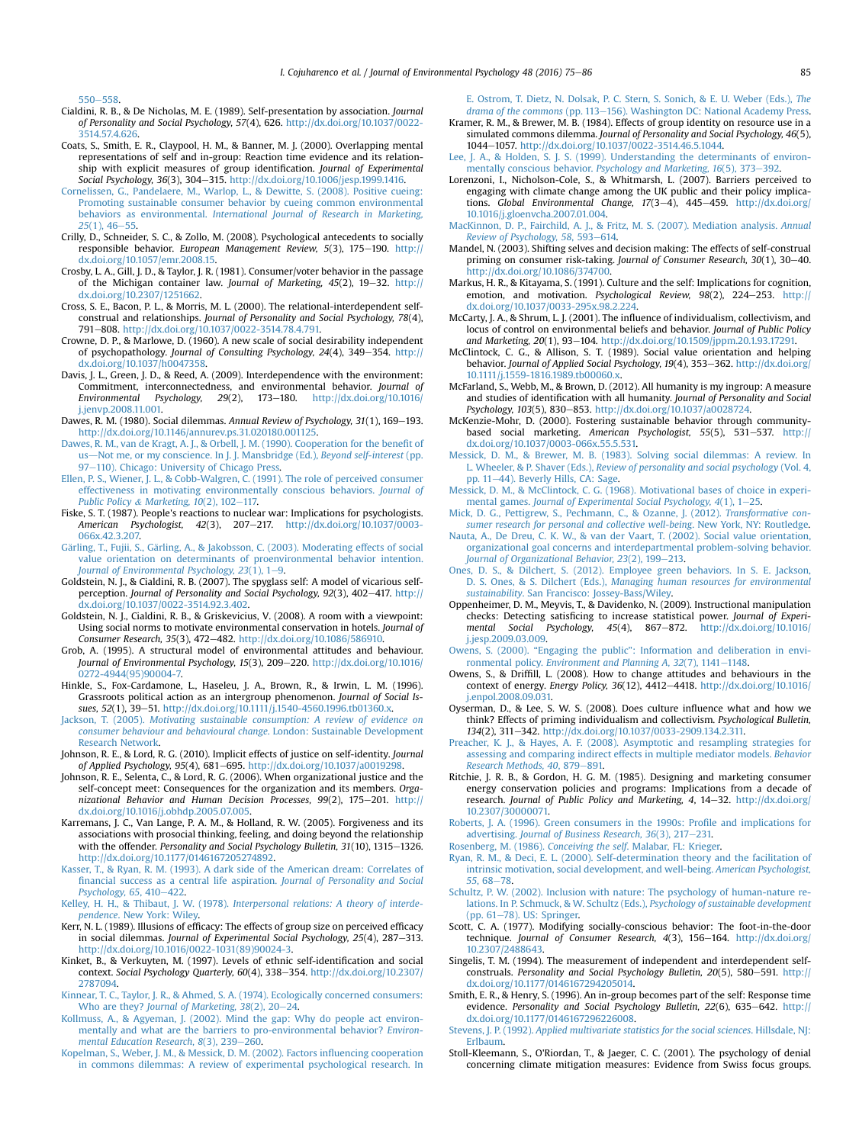<span id="page-10-0"></span>[550](http://refhub.elsevier.com/S0272-4944(16)30082-2/sref13)-[558](http://refhub.elsevier.com/S0272-4944(16)30082-2/sref13)

- Cialdini, R. B., & De Nicholas, M. E. (1989). Self-presentation by association. Journal of Personality and Social Psychology, 57(4), 626. [http://dx.doi.org/10.1037/0022-](http://dx.doi.org/10.1037/0022-3514.57.4.626) [3514.57.4.626](http://dx.doi.org/10.1037/0022-3514.57.4.626).
- Coats, S., Smith, E. R., Claypool, H. M., & Banner, M. J. (2000). Overlapping mental representations of self and in-group: Reaction time evidence and its relationship with explicit measures of group identification. Journal of Experimental Social Psychology, 36(3), 304-315. <http://dx.doi.org/10.1006/jesp.1999.1416>.
- [Cornelissen, G., Pandelaere, M., Warlop, L., & Dewitte, S. \(2008\). Positive cueing:](http://refhub.elsevier.com/S0272-4944(16)30082-2/sref16) [Promoting sustainable consumer behavior by cueing common environmental](http://refhub.elsevier.com/S0272-4944(16)30082-2/sref16) behaviors as environmental. [International Journal of Research in Marketing,](http://refhub.elsevier.com/S0272-4944(16)30082-2/sref16)  $25(1)$ ,  $46-55$  $46-55$
- Crilly, D., Schneider, S. C., & Zollo, M. (2008). Psychological antecedents to socially responsible behavior. European Management Review,  $5(3)$ ,  $175-190$ . [http://](http://dx.doi.org/10.1057/emr.2008.15) [dx.doi.org/10.1057/emr.2008.15](http://dx.doi.org/10.1057/emr.2008.15).
- Crosby, L. A., Gill, J. D., & Taylor, J. R. (1981). Consumer/voter behavior in the passage of the Michigan container law. Journal of Marketing, 45(2), 19-32. [http://](http://dx.doi.org/10.2307/1251662) [dx.doi.org/10.2307/1251662.](http://dx.doi.org/10.2307/1251662)
- Cross, S. E., Bacon, P. L., & Morris, M. L. (2000). The relational-interdependent selfconstrual and relationships. Journal of Personality and Social Psychology, 78(4), 791-808. [http://dx.doi.org/10.1037/0022-3514.78.4.791.](http://dx.doi.org/10.1037/0022-3514.78.4.791)
- Crowne, D. P., & Marlowe, D. (1960). A new scale of social desirability independent of psychopathology. Journal of Consulting Psychology, 24(4), 349-354. [http://](http://dx.doi.org/10.1037/h0047358) [dx.doi.org/10.1037/h0047358](http://dx.doi.org/10.1037/h0047358).
- Davis, J. L., Green, J. D., & Reed, A. (2009). Interdependence with the environment: Commitment, interconnectedness, and environmental behavior. Journal of Environmental Psychology, 29(2), 173-180. [http://dx.doi.org/10.1016/](http://dx.doi.org/10.1016/j.jenvp.2008.11.001) [j.jenvp.2008.11.001.](http://dx.doi.org/10.1016/j.jenvp.2008.11.001)
- Dawes, R. M. (1980). Social dilemmas. Annual Review of Psychology, 31(1), 169-193. <http://dx.doi.org/10.1146/annurev.ps.31.020180.001125>.
- [Dawes, R. M., van de Kragt, A. J., & Orbell, J. M. \(1990\). Cooperation for the bene](http://refhub.elsevier.com/S0272-4944(16)30082-2/sref23)fit of [us](http://refhub.elsevier.com/S0272-4944(16)30082-2/sref23)-[Not me, or my conscience. In J. J. Mansbridge \(Ed.\),](http://refhub.elsevier.com/S0272-4944(16)30082-2/sref23) Beyond self-interest (pp. [97](http://refhub.elsevier.com/S0272-4944(16)30082-2/sref23)-[110\). Chicago: University of Chicago Press.](http://refhub.elsevier.com/S0272-4944(16)30082-2/sref23)<br>[Ellen, P. S., Wiener, J. L., & Cobb-Walgren, C. \(1991\). The role of perceived consumer](http://refhub.elsevier.com/S0272-4944(16)30082-2/sref24)
- [effectiveness in motivating environmentally conscious behaviors.](http://refhub.elsevier.com/S0272-4944(16)30082-2/sref24) Journal of [Public Policy](http://refhub.elsevier.com/S0272-4944(16)30082-2/sref24) & Marketing,  $10(2)$ ,  $102-117$ .
- Fiske, S. T. (1987). People's reactions to nuclear war: Implications for psychologists. American Psychologist, 42(3), 207-217. [http://dx.doi.org/10.1037/0003-](http://dx.doi.org/10.1037/0003-066x.42.3.207) [066x.42.3.207.](http://dx.doi.org/10.1037/0003-066x.42.3.207)
- [G](http://refhub.elsevier.com/S0272-4944(16)30082-2/sref26)ärling, T., Fujii, S., Gärling, A., & Jakobsson, C. (2003). Moderating effects of social [value orientation on determinants of proenvironmental behavior intention.](http://refhub.elsevier.com/S0272-4944(16)30082-2/sref26) [Journal of Environmental Psychology, 23](http://refhub.elsevier.com/S0272-4944(16)30082-2/sref26)(1), 1-[9.](http://refhub.elsevier.com/S0272-4944(16)30082-2/sref26)
- Goldstein, N. J., & Cialdini, R. B. (2007). The spyglass self: A model of vicarious selfperception. Journal of Personality and Social Psychology, 92(3), 402-417. [http://](http://dx.doi.org/10.1037/0022-3514.92.3.402) [dx.doi.org/10.1037/0022-3514.92.3.402.](http://dx.doi.org/10.1037/0022-3514.92.3.402)
- Goldstein, N. J., Cialdini, R. B., & Griskevicius, V. (2008). A room with a viewpoint: Using social norms to motivate environmental conservation in hotels. Journal of Consumer Research, 35(3), 472-482. <http://dx.doi.org/10.1086/586910>.
- Grob, A. (1995). A structural model of environmental attitudes and behaviour. Journal of Environmental Psychology, 15(3), 209-220. [http://dx.doi.org/10.1016/](http://dx.doi.org/10.1016/0272-4944(95)90004-7) [0272-4944\(95\)90004-7.](http://dx.doi.org/10.1016/0272-4944(95)90004-7)
- Hinkle, S., Fox-Cardamone, L., Haseleu, J. A., Brown, R., & Irwin, L. M. (1996). Grassroots political action as an intergroup phenomenon. Journal of Social Issues, 52(1), 39-51. [http://dx.doi.org/10.1111/j.1540-4560.1996.tb01360.x.](http://dx.doi.org/10.1111/j.1540-4560.1996.tb01360.x)
- Jackson, T. (2005). [Motivating sustainable consumption: A review of evidence on](http://refhub.elsevier.com/S0272-4944(16)30082-2/sref31) [consumer behaviour and behavioural change](http://refhub.elsevier.com/S0272-4944(16)30082-2/sref31). London: Sustainable Development [Research Network.](http://refhub.elsevier.com/S0272-4944(16)30082-2/sref31)
- Johnson, R. E., & Lord, R. G. (2010). Implicit effects of justice on self-identity. Journal of Applied Psychology, 95(4), 681-695. http://dx.doi.org/10.1037/a001929.
- Johnson, R. E., Selenta, C., & Lord, R. G. (2006). When organizational justice and the self-concept meet: Consequences for the organization and its members. Organizational Behavior and Human Decision Processes, 99(2), 175-201. [http://](http://dx.doi.org/10.1016/j.obhdp.2005.07.005) [dx.doi.org/10.1016/j.obhdp.2005.07.005](http://dx.doi.org/10.1016/j.obhdp.2005.07.005).
- Karremans, J. C., Van Lange, P. A. M., & Holland, R. W. (2005). Forgiveness and its associations with prosocial thinking, feeling, and doing beyond the relationship with the offender. Personality and Social Psychology Bulletin, 31(10), 1315-1326. [http://dx.doi.org/10.1177/0146167205274892.](http://dx.doi.org/10.1177/0146167205274892)
- [Kasser, T., & Ryan, R. M. \(1993\). A dark side of the American dream: Correlates of](http://refhub.elsevier.com/S0272-4944(16)30082-2/sref35) fi[nancial success as a central life aspiration.](http://refhub.elsevier.com/S0272-4944(16)30082-2/sref35) Journal of Personality and Social [Psychology, 65](http://refhub.elsevier.com/S0272-4944(16)30082-2/sref35), 410-[422.](http://refhub.elsevier.com/S0272-4944(16)30082-2/sref35)
- Kelley, H. H., & Thibaut, J. W. (1978). [Interpersonal relations: A theory of interde](http://refhub.elsevier.com/S0272-4944(16)30082-2/sref36)pendence[. New York: Wiley](http://refhub.elsevier.com/S0272-4944(16)30082-2/sref36).
- Kerr, N. L. (1989). Illusions of efficacy: The effects of group size on perceived efficacy in social dilemmas. Journal of Experimental Social Psychology, 25(4), 287-313. [http://dx.doi.org/10.1016/0022-1031\(89\)90024-3.](http://dx.doi.org/10.1016/0022-1031(89)90024-3)
- Kinket, B., & Verkuyten, M. (1997). Levels of ethnic self-identification and social context. Social Psychology Quarterly, 60(4), 338-354. [http://dx.doi.org/10.2307/](http://dx.doi.org/10.2307/2787094) [2787094.](http://dx.doi.org/10.2307/2787094)
- [Kinnear, T. C., Taylor, J. R., & Ahmed, S. A. \(1974\). Ecologically concerned consumers:](http://refhub.elsevier.com/S0272-4944(16)30082-2/sref39) Who are they? Journal of Marketing,  $38(2)$ ,  $20-24$  $20-24$ .
- [Kollmuss, A., & Agyeman, J. \(2002\). Mind the gap: Why do people act environ](http://refhub.elsevier.com/S0272-4944(16)30082-2/sref40)[mentally and what are the barriers to pro-environmental behavior?](http://refhub.elsevier.com/S0272-4944(16)30082-2/sref40) Environmental Education Research,  $8(3)$ ,  $239-260$  $239-260$ .
- [Kopelman, S., Weber, J. M., & Messick, D. M. \(2002\). Factors in](http://refhub.elsevier.com/S0272-4944(16)30082-2/sref41)fluencing cooperation [in commons dilemmas: A review of experimental psychological research. In](http://refhub.elsevier.com/S0272-4944(16)30082-2/sref41)

[E. Ostrom, T. Dietz, N. Dolsak, P. C. Stern, S. Sonich, & E. U. Weber \(Eds.\),](http://refhub.elsevier.com/S0272-4944(16)30082-2/sref41) The [drama of the commons](http://refhub.elsevier.com/S0272-4944(16)30082-2/sref41) (pp. 113–[156\). Washington DC: National Academy Press](http://refhub.elsevier.com/S0272-4944(16)30082-2/sref41).

- Kramer, R. M., & Brewer, M. B. (1984). Effects of group identity on resource use in a simulated commons dilemma. Journal of Personality and Social Psychology, 46(5), 1044e1057. [http://dx.doi.org/10.1037/0022-3514.46.5.1044.](http://dx.doi.org/10.1037/0022-3514.46.5.1044)
- [Lee, J. A., & Holden, S. J. S. \(1999\). Understanding the determinants of environ](http://refhub.elsevier.com/S0272-4944(16)30082-2/sref43)[mentally conscious behavior.](http://refhub.elsevier.com/S0272-4944(16)30082-2/sref43) Psychology and Marketing, 16(5), 373–[392.](http://refhub.elsevier.com/S0272-4944(16)30082-2/sref43)
- Lorenzoni, I., Nicholson-Cole, S., & Whitmarsh, L. (2007). Barriers perceived to engaging with climate change among the UK public and their policy implications. Global Environmental Change, 17(3-4), 445-459. [http://dx.doi.org/](http://dx.doi.org/10.1016/j.gloenvcha.2007.01.004) [10.1016/j.gloenvcha.2007.01.004](http://dx.doi.org/10.1016/j.gloenvcha.2007.01.004).
- [MacKinnon, D. P., Fairchild, A. J., & Fritz, M. S. \(2007\). Mediation analysis.](http://refhub.elsevier.com/S0272-4944(16)30082-2/sref45) Annual [Review of Psychology, 58](http://refhub.elsevier.com/S0272-4944(16)30082-2/sref45), 593-[614](http://refhub.elsevier.com/S0272-4944(16)30082-2/sref45).
- Mandel, N. (2003). Shifting selves and decision making: The effects of self-construal priming on consumer risk-taking. Journal of Consumer Research, 30(1), 30-40. [http://dx.doi.org/10.1086/374700.](http://dx.doi.org/10.1086/374700)
- Markus, H. R., & Kitayama, S. (1991). Culture and the self: Implications for cognition, emotion, and motivation. Psychological Review,  $98(2)$ ,  $224-253$ , [http://](http://dx.doi.org/10.1037/0033-295x.98.2.224) [dx.doi.org/10.1037/0033-295x.98.2.224](http://dx.doi.org/10.1037/0033-295x.98.2.224).
- McCarty, J. A., & Shrum, L. J. (2001). The influence of individualism, collectivism, and locus of control on environmental beliefs and behavior. Journal of Public Policy and Marketing, 20(1), 93-104. [http://dx.doi.org/10.1509/jppm.20.1.93.17291.](http://dx.doi.org/10.1509/jppm.20.1.93.17291)
- McClintock, C. G., & Allison, S. T. (1989). Social value orientation and helping behavior. Journal of Applied Social Psychology, 19(4), 353-362. [http://dx.doi.org/](http://dx.doi.org/10.1111/j.1559-1816.1989.tb00060.x) [10.1111/j.1559-1816.1989.tb00060.x](http://dx.doi.org/10.1111/j.1559-1816.1989.tb00060.x).
- McFarland, S., Webb, M., & Brown, D. (2012). All humanity is my ingroup: A measure and studies of identification with all humanity. Journal of Personality and Social Psychology, 103(5), 830-853. [http://dx.doi.org/10.1037/a0028724.](http://dx.doi.org/10.1037/a0028724)
- McKenzie-Mohr, D. (2000). Fostering sustainable behavior through communitybased social marketing. American Psychologist, 55(5), 531–537. [http://](http://dx.doi.org/10.1037/0003-066x.55.5.531)<br>[dx.doi.org/10.1037/0003-066x.55.5.531.](http://dx.doi.org/10.1037/0003-066x.55.5.531)
- [Messick, D. M., & Brewer, M. B. \(1983\). Solving social dilemmas: A review. In](http://refhub.elsevier.com/S0272-4944(16)30082-2/sref52) L. Wheeler, & P. Shaver (Eds.), [Review of personality and social psychology](http://refhub.elsevier.com/S0272-4944(16)30082-2/sref52) (Vol. 4, [pp. 11](http://refhub.elsevier.com/S0272-4944(16)30082-2/sref52)-[44\). Beverly Hills, CA: Sage](http://refhub.elsevier.com/S0272-4944(16)30082-2/sref52).
- [Messick, D. M., & McClintock, C. G. \(1968\). Motivational bases of choice in experi-](http://refhub.elsevier.com/S0272-4944(16)30082-2/sref53)mental games. [Journal of Experimental Social Psychology, 4](http://refhub.elsevier.com/S0272-4944(16)30082-2/sref53)(1), 1-[25](http://refhub.elsevier.com/S0272-4944(16)30082-2/sref53).
- [Mick, D. G., Pettigrew, S., Pechmann, C., & Ozanne, J. \(2012\).](http://refhub.elsevier.com/S0272-4944(16)30082-2/sref54) Transformative con[sumer research for personal and collective well-being](http://refhub.elsevier.com/S0272-4944(16)30082-2/sref54). New York, NY: Routledge. [Nauta, A., De Dreu, C. K. W., & van der Vaart, T. \(2002\). Social value orientation,](http://refhub.elsevier.com/S0272-4944(16)30082-2/sref55)
- [organizational goal concerns and interdepartmental problem-solving behavior.](http://refhub.elsevier.com/S0272-4944(16)30082-2/sref55) [Journal of Organizational Behavior, 23](http://refhub.elsevier.com/S0272-4944(16)30082-2/sref55)(2), 199-[213](http://refhub.elsevier.com/S0272-4944(16)30082-2/sref55).
- [Ones, D. S., & Dilchert, S. \(2012\). Employee green behaviors. In S. E. Jackson,](http://refhub.elsevier.com/S0272-4944(16)30082-2/sref56) D. S. Ones, & S. Dilchert (Eds.), [Managing human resources for environmental](http://refhub.elsevier.com/S0272-4944(16)30082-2/sref56) sustainability[. San Francisco: Jossey-Bass/Wiley.](http://refhub.elsevier.com/S0272-4944(16)30082-2/sref56)
- Oppenheimer, D. M., Meyvis, T., & Davidenko, N. (2009). Instructional manipulation checks: Detecting satisficing to increase statistical power. Journal of Experimental Social Psychology, 45(4), 867-872. [http://dx.doi.org/10.1016/](http://dx.doi.org/10.1016/j.jesp.2009.03.009) [j.jesp.2009.03.009](http://dx.doi.org/10.1016/j.jesp.2009.03.009).
- Owens, S. (2000). "Engaging the public"[: Information and deliberation in envi-](http://refhub.elsevier.com/S0272-4944(16)30082-2/sref58)ronmental policy. [Environment and Planning A, 32](http://refhub.elsevier.com/S0272-4944(16)30082-2/sref58)(7), 1141-[1148](http://refhub.elsevier.com/S0272-4944(16)30082-2/sref58).
- Owens, S., & Driffill, L. (2008). How to change attitudes and behaviours in the context of energy. Energy Policy, 36(12), 4412-4418. [http://dx.doi.org/10.1016/](http://dx.doi.org/10.1016/j.enpol.2008.09.031) [j.enpol.2008.09.031.](http://dx.doi.org/10.1016/j.enpol.2008.09.031)
- Oyserman, D., & Lee, S. W. S. (2008). Does culture influence what and how we think? Effects of priming individualism and collectivism. Psychological Bulletin, 134(2), 311-342. [http://dx.doi.org/10.1037/0033-2909.134.2.311.](http://dx.doi.org/10.1037/0033-2909.134.2.311)
- [Preacher, K. J., & Hayes, A. F. \(2008\). Asymptotic and resampling strategies for](http://refhub.elsevier.com/S0272-4944(16)30082-2/sref61) [assessing and comparing indirect effects in multiple mediator models.](http://refhub.elsevier.com/S0272-4944(16)30082-2/sref61) Behavior [Research Methods, 40](http://refhub.elsevier.com/S0272-4944(16)30082-2/sref61), 879-[891.](http://refhub.elsevier.com/S0272-4944(16)30082-2/sref61)
- Ritchie, J. R. B., & Gordon, H. G. M. (1985). Designing and marketing consumer energy conservation policies and programs: Implications from a decade of research. Journal of Public Policy and Marketing, 4, 14-32. [http://dx.doi.org/](http://dx.doi.org/10.2307/30000071) [10.2307/30000071.](http://dx.doi.org/10.2307/30000071)
- [Roberts, J. A. \(1996\). Green consumers in the 1990s: Pro](http://refhub.elsevier.com/S0272-4944(16)30082-2/sref63)file and implications for advertising. [Journal of Business Research, 36](http://refhub.elsevier.com/S0272-4944(16)30082-2/sref63)(3), 217-[231.](http://refhub.elsevier.com/S0272-4944(16)30082-2/sref63)
- [Rosenberg, M. \(1986\).](http://refhub.elsevier.com/S0272-4944(16)30082-2/sref64) Conceiving the self. Malabar, FL: Krieger.
- [Ryan, R. M., & Deci, E. L. \(2000\). Self-determination theory and the facilitation of](http://refhub.elsevier.com/S0272-4944(16)30082-2/sref65) [intrinsic motivation, social development, and well-being.](http://refhub.elsevier.com/S0272-4944(16)30082-2/sref65) American Psychologist, 55[, 68](http://refhub.elsevier.com/S0272-4944(16)30082-2/sref65)-[78.](http://refhub.elsevier.com/S0272-4944(16)30082-2/sref65)
- [Schultz, P. W. \(2002\). Inclusion with nature: The psychology of human-nature re](http://refhub.elsevier.com/S0272-4944(16)30082-2/sref66)[lations. In P. Schmuck, & W. Schultz \(Eds.\),](http://refhub.elsevier.com/S0272-4944(16)30082-2/sref66) Psychology of sustainable development  $(pn. 61-78)$ . US: Springer.
- Scott, C. A. (1977). Modifying socially-conscious behavior: The foot-in-the-door technique. Journal of Consumer Research, 4(3), 156-164. [http://dx.doi.org/](http://dx.doi.org/10.2307/2488643) [10.2307/2488643](http://dx.doi.org/10.2307/2488643).
- Singelis, T. M. (1994). The measurement of independent and interdependent selfconstruals. Personality and Social Psychology Bulletin, 20(5), 580-591. [http://](http://dx.doi.org/10.1177/0146167294205014) [dx.doi.org/10.1177/0146167294205014.](http://dx.doi.org/10.1177/0146167294205014)
- Smith, E. R., & Henry, S. (1996). An in-group becomes part of the self: Response time evidence. Personality and Social Psychology Bulletin, 22(6), 635-642. [http://](http://dx.doi.org/10.1177/0146167296226008) [dx.doi.org/10.1177/0146167296226008.](http://dx.doi.org/10.1177/0146167296226008)
- Stevens, J. P. (1992). [Applied multivariate statistics for the social sciences](http://refhub.elsevier.com/S0272-4944(16)30082-2/sref70). Hillsdale, NJ: [Erlbaum.](http://refhub.elsevier.com/S0272-4944(16)30082-2/sref70)
- Stoll-Kleemann, S., O'Riordan, T., & Jaeger, C. C. (2001). The psychology of denial concerning climate mitigation measures: Evidence from Swiss focus groups.